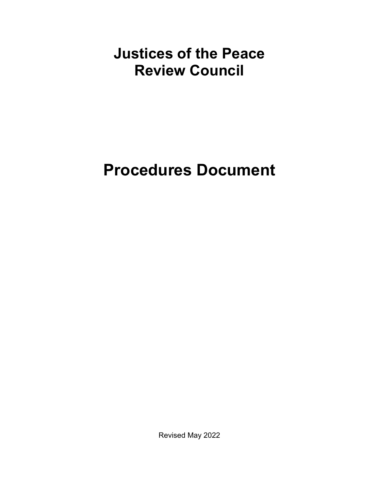# <span id="page-0-0"></span>**Justices of the Peace Review Council**

# **Procedures Document**

Revised May 2022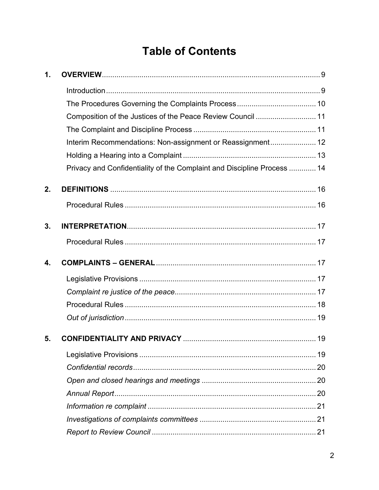# **Table of Contents**

| 1. |                                                                         |  |
|----|-------------------------------------------------------------------------|--|
|    |                                                                         |  |
|    |                                                                         |  |
|    | Composition of the Justices of the Peace Review Council  11             |  |
|    |                                                                         |  |
|    | Interim Recommendations: Non-assignment or Reassignment 12              |  |
|    |                                                                         |  |
|    | Privacy and Confidentiality of the Complaint and Discipline Process  14 |  |
| 2. |                                                                         |  |
|    |                                                                         |  |
| 3. |                                                                         |  |
|    |                                                                         |  |
| 4. |                                                                         |  |
|    |                                                                         |  |
|    |                                                                         |  |
|    |                                                                         |  |
|    |                                                                         |  |
| 5. |                                                                         |  |
|    |                                                                         |  |
|    |                                                                         |  |
|    |                                                                         |  |
|    |                                                                         |  |
|    |                                                                         |  |
|    |                                                                         |  |
|    |                                                                         |  |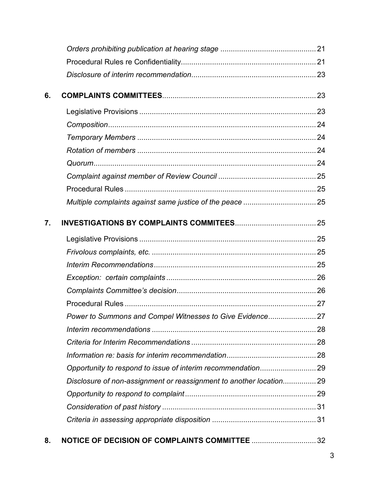| 6. |                                                                     |  |
|----|---------------------------------------------------------------------|--|
|    |                                                                     |  |
|    |                                                                     |  |
|    |                                                                     |  |
|    |                                                                     |  |
|    |                                                                     |  |
|    |                                                                     |  |
|    |                                                                     |  |
|    |                                                                     |  |
| 7. |                                                                     |  |
|    |                                                                     |  |
|    |                                                                     |  |
|    |                                                                     |  |
|    |                                                                     |  |
|    |                                                                     |  |
|    |                                                                     |  |
|    |                                                                     |  |
|    |                                                                     |  |
|    |                                                                     |  |
|    |                                                                     |  |
|    |                                                                     |  |
|    | Disclosure of non-assignment or reassignment to another location 29 |  |
|    |                                                                     |  |
|    |                                                                     |  |
|    |                                                                     |  |
| 8. |                                                                     |  |

3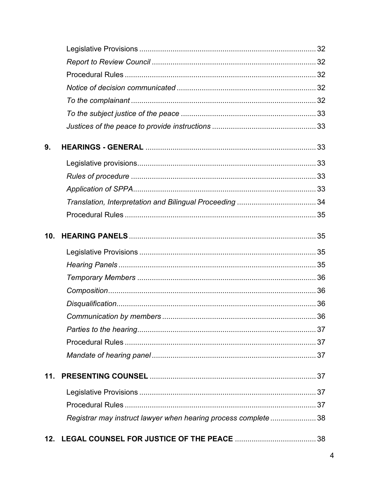| 9.              |                                                                |  |
|-----------------|----------------------------------------------------------------|--|
|                 |                                                                |  |
|                 |                                                                |  |
|                 |                                                                |  |
|                 |                                                                |  |
|                 |                                                                |  |
| 10 <sub>1</sub> |                                                                |  |
|                 |                                                                |  |
|                 |                                                                |  |
|                 |                                                                |  |
|                 |                                                                |  |
|                 |                                                                |  |
|                 |                                                                |  |
|                 |                                                                |  |
|                 |                                                                |  |
|                 |                                                                |  |
| 11.             |                                                                |  |
|                 |                                                                |  |
|                 |                                                                |  |
|                 | Registrar may instruct lawyer when hearing process complete 38 |  |
| 12.             |                                                                |  |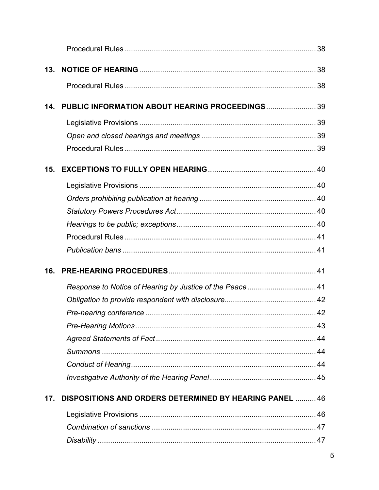| 13. |                                                                |  |
|-----|----------------------------------------------------------------|--|
|     |                                                                |  |
| 14. | PUBLIC INFORMATION ABOUT HEARING PROCEEDINGS 39                |  |
|     |                                                                |  |
|     |                                                                |  |
|     |                                                                |  |
| 15. |                                                                |  |
|     |                                                                |  |
|     |                                                                |  |
|     |                                                                |  |
|     |                                                                |  |
|     |                                                                |  |
|     |                                                                |  |
|     |                                                                |  |
| 16. |                                                                |  |
|     | Response to Notice of Hearing by Justice of the Peace 41       |  |
|     |                                                                |  |
|     |                                                                |  |
|     |                                                                |  |
|     |                                                                |  |
|     |                                                                |  |
|     |                                                                |  |
|     |                                                                |  |
| 17. | <b>DISPOSITIONS AND ORDERS DETERMINED BY HEARING PANEL  46</b> |  |
|     |                                                                |  |
|     |                                                                |  |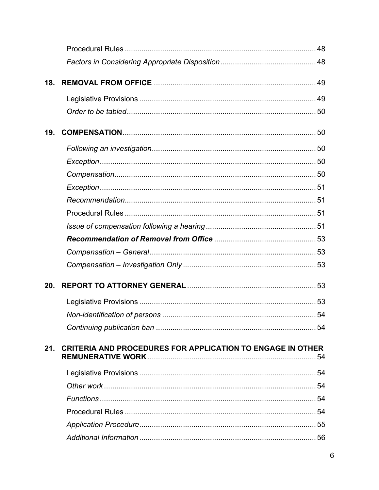| 18. |                                                                   |  |
|-----|-------------------------------------------------------------------|--|
|     |                                                                   |  |
|     |                                                                   |  |
| 19. |                                                                   |  |
|     |                                                                   |  |
|     |                                                                   |  |
|     |                                                                   |  |
|     |                                                                   |  |
|     |                                                                   |  |
|     |                                                                   |  |
|     |                                                                   |  |
|     |                                                                   |  |
|     |                                                                   |  |
|     |                                                                   |  |
| 20. |                                                                   |  |
|     |                                                                   |  |
|     |                                                                   |  |
|     |                                                                   |  |
| 21. | <b>CRITERIA AND PROCEDURES FOR APPLICATION TO ENGAGE IN OTHER</b> |  |
|     |                                                                   |  |
|     |                                                                   |  |
|     |                                                                   |  |
|     |                                                                   |  |
|     |                                                                   |  |
|     |                                                                   |  |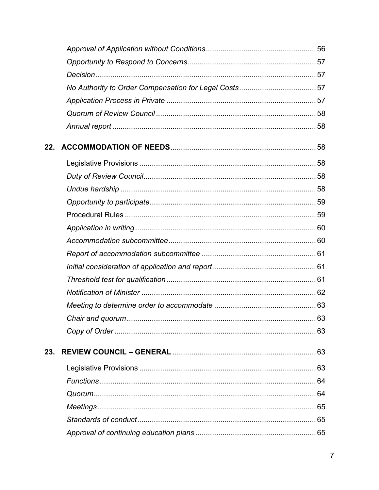| 22. |    |
|-----|----|
|     |    |
|     |    |
|     |    |
|     |    |
|     |    |
|     |    |
|     |    |
|     |    |
|     |    |
|     |    |
|     |    |
|     |    |
|     | 63 |
|     |    |
| 23. |    |
|     |    |
|     |    |
|     |    |
|     |    |
|     |    |
|     |    |
|     |    |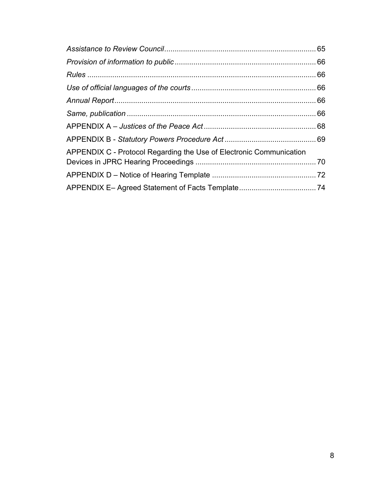| APPENDIX C - Protocol Regarding the Use of Electronic Communication |  |
|---------------------------------------------------------------------|--|
|                                                                     |  |
|                                                                     |  |
|                                                                     |  |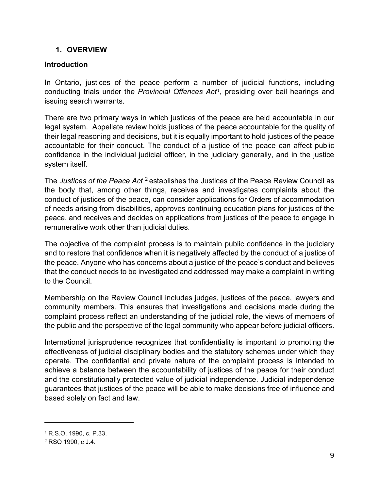#### <span id="page-8-0"></span>**1. OVERVIEW**

#### <span id="page-8-1"></span>**Introduction**

In Ontario, justices of the peace perform a number of judicial functions, including conducting trials under the *[Provincial Offences Act](https://www.ontario.ca/laws/statute/90p33)[1](#page-8-2)*, presiding over bail hearings and issuing search warrants.

There are two primary ways in which justices of the peace are held accountable in our legal system. Appellate review holds justices of the peace accountable for the quality of their legal reasoning and decisions, but it is equally important to hold justices of the peace accountable for their conduct. The conduct of a justice of the peace can affect public confidence in the individual judicial officer, in the judiciary generally, and in the justice system itself.

The *Justices of the Peace Act* [2](#page-8-3) establishes the Justices of the Peace Review Council as the body that, among other things, receives and investigates complaints about the conduct of justices of the peace, can consider applications for Orders of accommodation of needs arising from disabilities, approves continuing education plans for justices of the peace, and receives and decides on applications from justices of the peace to engage in remunerative work other than judicial duties.

The objective of the complaint process is to maintain public confidence in the judiciary and to restore that confidence when it is negatively affected by the conduct of a justice of the peace. Anyone who has concerns about a justice of the peace's conduct and believes that the conduct needs to be investigated and addressed may make a complaint in writing to the Council.

Membership on the Review Council includes judges, justices of the peace, lawyers and community members. This ensures that investigations and decisions made during the complaint process reflect an understanding of the judicial role, the views of members of the public and the perspective of the legal community who appear before judicial officers.

International jurisprudence recognizes that confidentiality is important to promoting the effectiveness of judicial disciplinary bodies and the statutory schemes under which they operate. The confidential and private nature of the complaint process is intended to achieve a balance between the accountability of justices of the peace for their conduct and the constitutionally protected value of judicial independence. Judicial independence guarantees that justices of the peace will be able to make decisions free of influence and based solely on fact and law.

<span id="page-8-2"></span><sup>1</sup> R.S.O. 1990, c. P.33.

<span id="page-8-3"></span><sup>2</sup> RSO 1990, c J.4.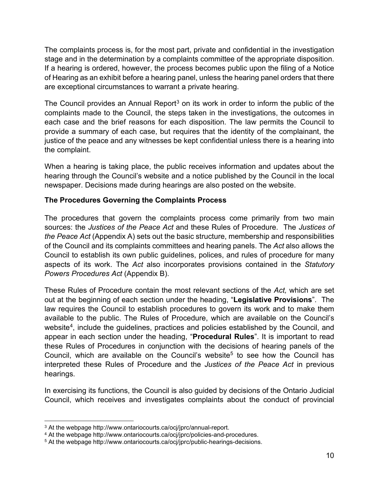The complaints process is, for the most part, private and confidential in the investigation stage and in the determination by a complaints committee of the appropriate disposition. If a hearing is ordered, however, the process becomes public upon the filing of a Notice of Hearing as an exhibit before a hearing panel, unless the hearing panel orders that there are exceptional circumstances to warrant a private hearing.

The Council provides an Annual Report<sup>[3](#page-9-1)</sup> on its work in order to inform the public of the complaints made to the Council, the steps taken in the investigations, the outcomes in each case and the brief reasons for each disposition. The law permits the Council to provide a summary of each case, but requires that the identity of the complainant, the justice of the peace and any witnesses be kept confidential unless there is a hearing into the complaint.

When a hearing is taking place, the public receives information and updates about the hearing through the Council's website and a notice published by the Council in the local newspaper. Decisions made during hearings are also posted on the website.

# <span id="page-9-0"></span>**The Procedures Governing the Complaints Process**

The procedures that govern the complaints process come primarily from two main sources: the *Justices of the Peace Act* and these Rules of Procedure. The *Justices of the Peace Act* (Appendix A) sets out the basic structure, membership and responsibilities of the Council and its complaints committees and hearing panels. The *Act* also allows the Council to establish its own public guidelines, polices, and rules of procedure for many aspects of its work. The *Act* also incorporates provisions contained in the *Statutory Powers Procedures Act* (Appendix B).

These Rules of Procedure contain the most relevant sections of the *Act,* which are set out at the beginning of each section under the heading, "**Legislative Provisions**". The law requires the Council to establish procedures to govern its work and to make them available to the public. The Rules of Procedure, which are available on the Council's website<sup>4</sup>, include the guidelines, practices and policies established by the Council, and appear in each section under the heading, "**Procedural Rules**". It is important to read these Rules of Procedures in conjunction with the decisions of hearing panels of the Council, which are available on the Council's website<sup>[5](#page-9-3)</sup> to see how the Council has interpreted these Rules of Procedure and the *Justices of the Peace Act* in previous hearings.

In exercising its functions, the Council is also guided by decisions of the Ontario Judicial Council, which receives and investigates complaints about the conduct of provincial

<span id="page-9-1"></span><sup>&</sup>lt;sup>3</sup> At the webpage http://www.ontariocourts.ca/ocj/jprc/annual-report.

<span id="page-9-2"></span><sup>4</sup> At the webpage http://www.ontariocourts.ca/ocj/jprc/policies-and-procedures.

<span id="page-9-3"></span><sup>5</sup> At the webpage http://www.ontariocourts.ca/ocj/jprc/public-hearings-decisions.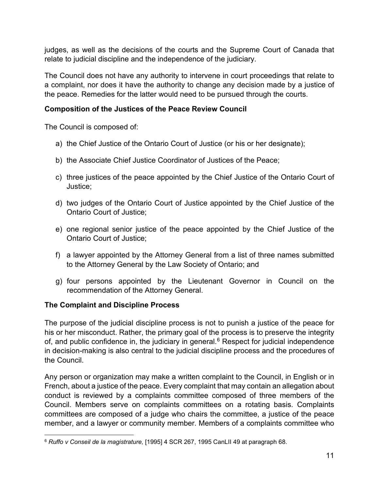judges, as well as the decisions of the courts and the Supreme Court of Canada that relate to judicial discipline and the independence of the judiciary.

The Council does not have any authority to intervene in court proceedings that relate to a complaint, nor does it have the authority to change any decision made by a justice of the peace. Remedies for the latter would need to be pursued through the courts.

# <span id="page-10-0"></span>**Composition of the Justices of the Peace Review Council**

The Council is composed of:

- a) the Chief Justice of the Ontario Court of Justice (or his or her designate);
- b) the Associate Chief Justice Coordinator of Justices of the Peace;
- c) three justices of the peace appointed by the Chief Justice of the Ontario Court of Justice;
- d) two judges of the Ontario Court of Justice appointed by the Chief Justice of the Ontario Court of Justice;
- e) one regional senior justice of the peace appointed by the Chief Justice of the Ontario Court of Justice;
- f) a lawyer appointed by the Attorney General from a list of three names submitted to the Attorney General by the Law Society of Ontario; and
- g) four persons appointed by the Lieutenant Governor in Council on the recommendation of the Attorney General.

# <span id="page-10-1"></span>**The Complaint and Discipline Process**

The purpose of the judicial discipline process is not to punish a justice of the peace for his or her misconduct. Rather, the primary goal of the process is to preserve the integrity of, and public confidence in, the judiciary in general. [6](#page-10-2) Respect for judicial independence in decision-making is also central to the judicial discipline process and the procedures of the Council.

Any person or organization may make a written complaint to the Council, in English or in French, about a justice of the peace. Every complaint that may contain an allegation about conduct is reviewed by a complaints committee composed of three members of the Council. Members serve on complaints committees on a rotating basis. Complaints committees are composed of a judge who chairs the committee, a justice of the peace member, and a lawyer or community member. Members of a complaints committee who

<span id="page-10-2"></span><sup>6</sup> *Ruffo v Conseil de la magistrature,* [1995] 4 SCR 267, 1995 CanLII 49 at paragraph 68.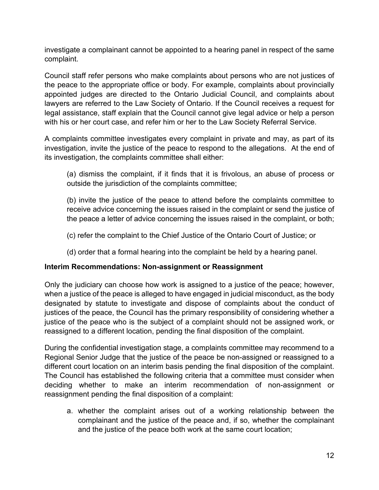investigate a complainant cannot be appointed to a hearing panel in respect of the same complaint.

Council staff refer persons who make complaints about persons who are not justices of the peace to the appropriate office or body. For example, complaints about provincially appointed judges are directed to the Ontario Judicial Council, and complaints about lawyers are referred to the Law Society of Ontario. If the Council receives a request for legal assistance, staff explain that the Council cannot give legal advice or help a person with his or her court case, and refer him or her to the Law Society Referral Service.

A complaints committee investigates every complaint in private and may, as part of its investigation, invite the justice of the peace to respond to the allegations. At the end of its investigation, the complaints committee shall either:

(a) dismiss the complaint, if it finds that it is frivolous, an abuse of process or outside the jurisdiction of the complaints committee;

(b) invite the justice of the peace to attend before the complaints committee to receive advice concerning the issues raised in the complaint or send the justice of the peace a letter of advice concerning the issues raised in the complaint, or both;

- (c) refer the complaint to the Chief Justice of the Ontario Court of Justice; or
- (d) order that a formal hearing into the complaint be held by a hearing panel.

# <span id="page-11-0"></span>**Interim Recommendations: Non-assignment or Reassignment**

Only the judiciary can choose how work is assigned to a justice of the peace; however, when a justice of the peace is alleged to have engaged in judicial misconduct, as the body designated by statute to investigate and dispose of complaints about the conduct of justices of the peace, the Council has the primary responsibility of considering whether a justice of the peace who is the subject of a complaint should not be assigned work, or reassigned to a different location, pending the final disposition of the complaint.

During the confidential investigation stage, a complaints committee may recommend to a Regional Senior Judge that the justice of the peace be non-assigned or reassigned to a different court location on an interim basis pending the final disposition of the complaint. The Council has established the following criteria that a committee must consider when deciding whether to make an interim recommendation of non-assignment or reassignment pending the final disposition of a complaint:

a. whether the complaint arises out of a working relationship between the complainant and the justice of the peace and, if so, whether the complainant and the justice of the peace both work at the same court location;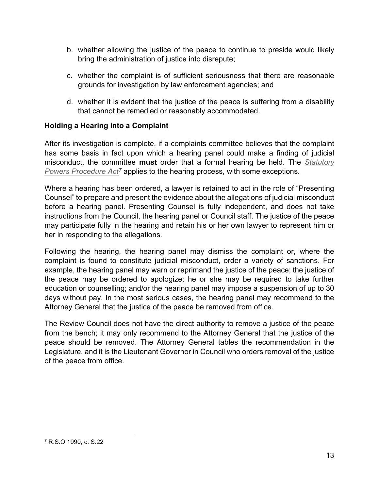- b. whether allowing the justice of the peace to continue to preside would likely bring the administration of justice into disrepute;
- c. whether the complaint is of sufficient seriousness that there are reasonable grounds for investigation by law enforcement agencies; and
- d. whether it is evident that the justice of the peace is suffering from a disability that cannot be remedied or reasonably accommodated.

# <span id="page-12-0"></span>**Holding a Hearing into a Complaint**

After its investigation is complete, if a complaints committee believes that the complaint has some basis in fact upon which a hearing panel could make a finding of judicial misconduct, the committee **must** order that a formal hearing be held. The *[Statutory](https://www.ontario.ca/laws/statute/90s22)  [Powers Procedure Act](https://www.ontario.ca/laws/statute/90s22)[7](#page-12-1)* applies to the hearing process, with some exceptions.

Where a hearing has been ordered, a lawyer is retained to act in the role of "Presenting Counsel" to prepare and present the evidence about the allegations of judicial misconduct before a hearing panel. Presenting Counsel is fully independent, and does not take instructions from the Council, the hearing panel or Council staff. The justice of the peace may participate fully in the hearing and retain his or her own lawyer to represent him or her in responding to the allegations.

Following the hearing, the hearing panel may dismiss the complaint or, where the complaint is found to constitute judicial misconduct, order a variety of sanctions. For example, the hearing panel may warn or reprimand the justice of the peace; the justice of the peace may be ordered to apologize; he or she may be required to take further education or counselling; and/or the hearing panel may impose a suspension of up to 30 days without pay. In the most serious cases, the hearing panel may recommend to the Attorney General that the justice of the peace be removed from office.

The Review Council does not have the direct authority to remove a justice of the peace from the bench; it may only recommend to the Attorney General that the justice of the peace should be removed. The Attorney General tables the recommendation in the Legislature, and it is the Lieutenant Governor in Council who orders removal of the justice of the peace from office.

<span id="page-12-1"></span><sup>7</sup> R.S.O 1990, c. S.22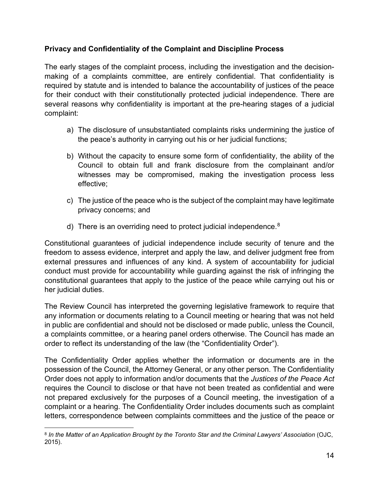# <span id="page-13-0"></span>**Privacy and Confidentiality of the Complaint and Discipline Process**

The early stages of the complaint process, including the investigation and the decisionmaking of a complaints committee, are entirely confidential. That confidentiality is required by statute and is intended to balance the accountability of justices of the peace for their conduct with their constitutionally protected judicial independence. There are several reasons why confidentiality is important at the pre-hearing stages of a judicial complaint:

- a) The disclosure of unsubstantiated complaints risks undermining the justice of the peace's authority in carrying out his or her judicial functions;
- b) Without the capacity to ensure some form of confidentiality, the ability of the Council to obtain full and frank disclosure from the complainant and/or witnesses may be compromised, making the investigation process less effective;
- c) The justice of the peace who is the subject of the complaint may have legitimate privacy concerns; and
- d) There is an overriding need to protect judicial independence.<sup>[8](#page-13-1)</sup>

Constitutional guarantees of judicial independence include security of tenure and the freedom to assess evidence, interpret and apply the law, and deliver judgment free from external pressures and influences of any kind. A system of accountability for judicial conduct must provide for accountability while guarding against the risk of infringing the constitutional guarantees that apply to the justice of the peace while carrying out his or her judicial duties.

The Review Council has interpreted the governing legislative framework to require that any information or documents relating to a Council meeting or hearing that was not held in public are confidential and should not be disclosed or made public, unless the Council, a complaints committee, or a hearing panel orders otherwise. The Council has made an order to reflect its understanding of the law (the "Confidentiality Order").

The Confidentiality Order applies whether the information or documents are in the possession of the Council, the Attorney General, or any other person. The Confidentiality Order does not apply to information and/or documents that the *Justices of the Peace Act* requires the Council to disclose or that have not been treated as confidential and were not prepared exclusively for the purposes of a Council meeting, the investigation of a complaint or a hearing. The Confidentiality Order includes documents such as complaint letters, correspondence between complaints committees and the justice of the peace or

<span id="page-13-1"></span><sup>8</sup> *In the Matter of an Application Brought by the Toronto Star and the Criminal Lawyers' Association* (OJC, 2015).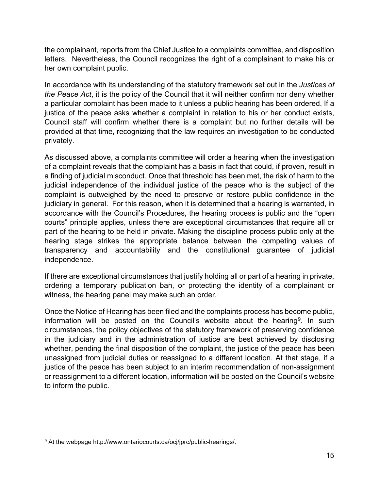the complainant, reports from the Chief Justice to a complaints committee, and disposition letters. Nevertheless, the Council recognizes the right of a complainant to make his or her own complaint public.

In accordance with its understanding of the statutory framework set out in the *Justices of the Peace Act*, it is the policy of the Council that it will neither confirm nor deny whether a particular complaint has been made to it unless a public hearing has been ordered. If a justice of the peace asks whether a complaint in relation to his or her conduct exists, Council staff will confirm whether there is a complaint but no further details will be provided at that time, recognizing that the law requires an investigation to be conducted privately.

As discussed above, a complaints committee will order a hearing when the investigation of a complaint reveals that the complaint has a basis in fact that could, if proven, result in a finding of judicial misconduct. Once that threshold has been met, the risk of harm to the judicial independence of the individual justice of the peace who is the subject of the complaint is outweighed by the need to preserve or restore public confidence in the judiciary in general. For this reason, when it is determined that a hearing is warranted, in accordance with the Council's Procedures, the hearing process is public and the "open courts" principle applies, unless there are exceptional circumstances that require all or part of the hearing to be held in private. Making the discipline process public only at the hearing stage strikes the appropriate balance between the competing values of transparency and accountability and the constitutional guarantee of judicial independence.

If there are exceptional circumstances that justify holding all or part of a hearing in private, ordering a temporary publication ban, or protecting the identity of a complainant or witness, the hearing panel may make such an order.

Once the Notice of Hearing has been filed and the complaints process has become public, information will be posted on the Council's website about the hearing<sup>9</sup>. In such circumstances, the policy objectives of the statutory framework of preserving confidence in the judiciary and in the administration of justice are best achieved by disclosing whether, pending the final disposition of the complaint, the justice of the peace has been unassigned from judicial duties or reassigned to a different location. At that stage, if a justice of the peace has been subject to an interim recommendation of non-assignment or reassignment to a different location, information will be posted on the Council's website to inform the public.

<span id="page-14-0"></span><sup>&</sup>lt;sup>9</sup> At the webpage http://www.ontariocourts.ca/ocj/jprc/public-hearings/.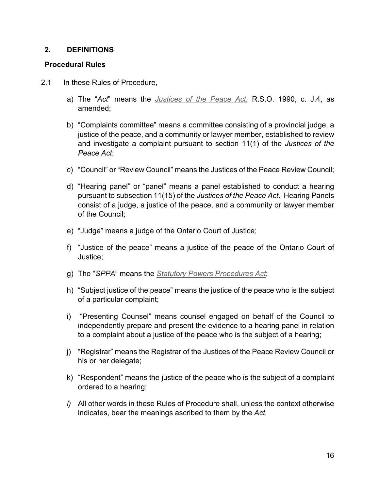#### <span id="page-15-0"></span>**2. DEFINITIONS**

### <span id="page-15-1"></span>**Procedural Rules**

- 2.1 In these Rules of Procedure,
	- a) The "*Act*" means the *[Justices of the Peace Act](https://www.ontario.ca/laws/statute/90j04)*, R.S.O. 1990, c. J.4, as amended;
	- b) "Complaints committee" means a committee consisting of a provincial judge, a justice of the peace, and a community or lawyer member, established to review and investigate a complaint pursuant to section 11(1) of the *Justices of the Peace Act*;
	- c) "Council" or "Review Council" means the Justices of the Peace Review Council;
	- d) "Hearing panel" or "panel" means a panel established to conduct a hearing pursuant to subsection 11(15) of the *Justices of the Peace Act*. Hearing Panels consist of a judge, a justice of the peace, and a community or lawyer member of the Council;
	- e) "Judge" means a judge of the Ontario Court of Justice;
	- f) "Justice of the peace" means a justice of the peace of the Ontario Court of Justice;
	- g) The "*SPPA*" means the *[Statutory Powers Procedures Act](https://www.ontario.ca/laws/statute/90s22)*;
	- h) "Subject justice of the peace" means the justice of the peace who is the subject of a particular complaint;
	- i) "Presenting Counsel" means counsel engaged on behalf of the Council to independently prepare and present the evidence to a hearing panel in relation to a complaint about a justice of the peace who is the subject of a hearing;
	- j) "Registrar" means the Registrar of the Justices of the Peace Review Council or his or her delegate;
	- k) "Respondent" means the justice of the peace who is the subject of a complaint ordered to a hearing;
	- *l)* All other words in these Rules of Procedure shall, unless the context otherwise indicates, bear the meanings ascribed to them by the *Act.*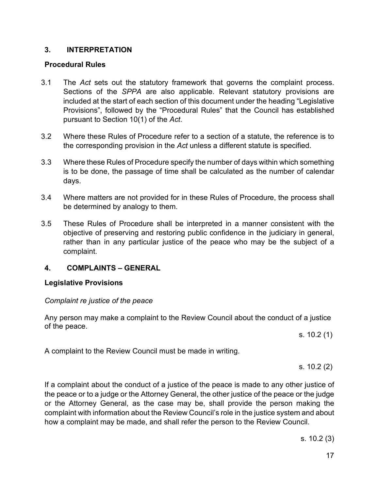#### <span id="page-16-0"></span>**3. INTERPRETATION**

#### <span id="page-16-1"></span>**Procedural Rules**

- 3.1 The *Act* sets out the statutory framework that governs the complaint process. Sections of the *SPPA* are also applicable. Relevant statutory provisions are included at the start of each section of this document under the heading "Legislative Provisions", followed by the "Procedural Rules" that the Council has established pursuant to Section 10(1) of the *Act*.
- 3.2 Where these Rules of Procedure refer to a section of a statute, the reference is to the corresponding provision in the *Act* unless a different statute is specified.
- 3.3 Where these Rules of Procedure specify the number of days within which something is to be done, the passage of time shall be calculated as the number of calendar days.
- 3.4 Where matters are not provided for in these Rules of Procedure, the process shall be determined by analogy to them.
- 3.5 These Rules of Procedure shall be interpreted in a manner consistent with the objective of preserving and restoring public confidence in the judiciary in general, rather than in any particular justice of the peace who may be the subject of a complaint.

# <span id="page-16-2"></span>**4. COMPLAINTS – GENERAL**

#### <span id="page-16-3"></span>**Legislative Provisions**

#### <span id="page-16-4"></span>*Complaint re justice of the peace*

Any person may make a complaint to the Review Council about the conduct of a justice of the peace.

s. 10.2 (1)

A complaint to the Review Council must be made in writing.

s. 10.2 (2)

If a complaint about the conduct of a justice of the peace is made to any other justice of the peace or to a judge or the Attorney General, the other justice of the peace or the judge or the Attorney General, as the case may be, shall provide the person making the complaint with information about the Review Council's role in the justice system and about how a complaint may be made, and shall refer the person to the Review Council.

s. 10.2 (3)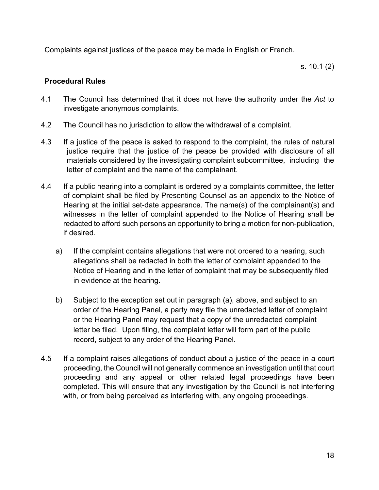Complaints against justices of the peace may be made in English or French.

s. 10.1 (2)

# <span id="page-17-0"></span>**Procedural Rules**

- 4.1 The Council has determined that it does not have the authority under the *Act* to investigate anonymous complaints.
- 4.2 The Council has no jurisdiction to allow the withdrawal of a complaint.
- 4.3 If a justice of the peace is asked to respond to the complaint, the rules of natural justice require that the justice of the peace be provided with disclosure of all materials considered by the investigating complaint subcommittee, including the letter of complaint and the name of the complainant.
- 4.4 If a public hearing into a complaint is ordered by a complaints committee, the letter of complaint shall be filed by Presenting Counsel as an appendix to the Notice of Hearing at the initial set-date appearance. The name(s) of the complainant(s) and witnesses in the letter of complaint appended to the Notice of Hearing shall be redacted to afford such persons an opportunity to bring a motion for non-publication, if desired.
	- a) If the complaint contains allegations that were not ordered to a hearing, such allegations shall be redacted in both the letter of complaint appended to the Notice of Hearing and in the letter of complaint that may be subsequently filed in evidence at the hearing.
	- b) Subject to the exception set out in paragraph (a), above, and subject to an order of the Hearing Panel, a party may file the unredacted letter of complaint or the Hearing Panel may request that a copy of the unredacted complaint letter be filed. Upon filing, the complaint letter will form part of the public record, subject to any order of the Hearing Panel.
- 4.5 If a complaint raises allegations of conduct about a justice of the peace in a court proceeding, the Council will not generally commence an investigation until that court proceeding and any appeal or other related legal proceedings have been completed. This will ensure that any investigation by the Council is not interfering with, or from being perceived as interfering with, any ongoing proceedings.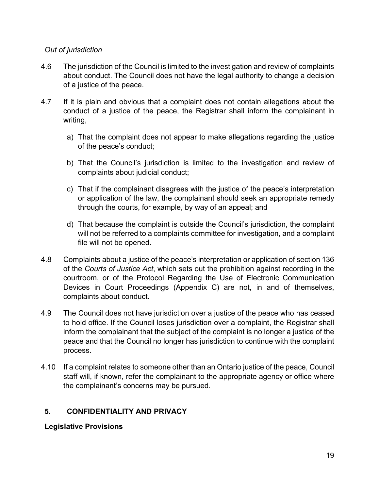# <span id="page-18-0"></span>*Out of jurisdiction*

- 4.6 The jurisdiction of the Council is limited to the investigation and review of complaints about conduct. The Council does not have the legal authority to change a decision of a justice of the peace.
- 4.7 If it is plain and obvious that a complaint does not contain allegations about the conduct of a justice of the peace, the Registrar shall inform the complainant in writing,
	- a) That the complaint does not appear to make allegations regarding the justice of the peace's conduct;
	- b) That the Council's jurisdiction is limited to the investigation and review of complaints about judicial conduct;
	- c) That if the complainant disagrees with the justice of the peace's interpretation or application of the law, the complainant should seek an appropriate remedy through the courts, for example, by way of an appeal; and
	- d) That because the complaint is outside the Council's jurisdiction, the complaint will not be referred to a complaints committee for investigation, and a complaint file will not be opened.
- 4.8 Complaints about a justice of the peace's interpretation or application of section 136 of the *Courts of Justice Act*, which sets out the prohibition against recording in the courtroom, or of the Protocol Regarding the Use of Electronic Communication Devices in Court Proceedings (Appendix C) are not, in and of themselves, complaints about conduct.
- 4.9 The Council does not have jurisdiction over a justice of the peace who has ceased to hold office. If the Council loses jurisdiction over a complaint, the Registrar shall inform the complainant that the subject of the complaint is no longer a justice of the peace and that the Council no longer has jurisdiction to continue with the complaint process.
- 4.10 If a complaint relates to someone other than an Ontario justice of the peace, Council staff will, if known, refer the complainant to the appropriate agency or office where the complainant's concerns may be pursued.

# <span id="page-18-1"></span>**5. [CONFIDENTIALITY](#page-0-0) AND PRIVACY**

# <span id="page-18-2"></span>**[Legislative](#page-0-0) Provisions**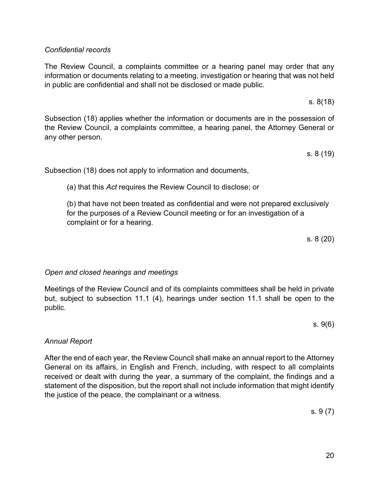# <span id="page-19-0"></span>*Confidential records*

The Review Council, a complaints committee or a hearing panel may order that any information or documents relating to a meeting, investigation or hearing that was not held in public are confidential and shall not be disclosed or made public.

s. 8(18)

Subsection (18) applies whether the information or documents are in the possession of the Review Council, a complaints committee, a hearing panel, the Attorney General or any other person.

s. 8 (19)

Subsection (18) does not apply to information and documents,

(a) that this *Act* requires the Review Council to disclose; or

(b) that have not been treated as confidential and were not prepared exclusively for the purposes of a Review Council meeting or for an investigation of a complaint or for a hearing.

s. 8 (20)

# <span id="page-19-1"></span>*Open and closed hearings and meetings*

Meetings of the Review Council and of its complaints committees shall be held in private but, subject to subsection 11.1 (4), hearings under section 11.1 shall be open to the public.

s. 9(6)

# <span id="page-19-2"></span>*[Annual Report](#page-0-0)*

After the end of each year, the Review Council shall make an annual report to the Attorney General on its affairs, in English and French, including, with respect to all complaints received or dealt with during the year, a summary of the complaint, the findings and a statement of the disposition, but the report shall not include information that might identify the justice of the peace, the complainant or a witness.

s. 9 (7)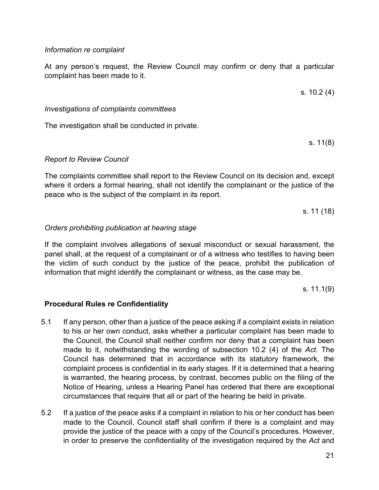#### <span id="page-20-0"></span>*[Information](#page-0-0) re complaint*

At any person's request, the Review Council may confirm or deny that a particular complaint has been made to it.

<span id="page-20-1"></span>*Investigations of complaints committees* 

The investigation shall be conducted in private.

<span id="page-20-2"></span>*[Report to Review Council](#page-0-0)*

The complaints committee shall report to the Review Council on its decision and, except where it orders a formal hearing, shall not identify the complainant or the justice of the peace who is the subject of the complaint in its report.

s. 11 (18)

#### <span id="page-20-3"></span>*Orders prohibiting publication at hearing stage*

If the complaint involves allegations of sexual misconduct or sexual harassment, the panel shall, at the request of a complainant or of a witness who testifies to having been the victim of such conduct by the justice of the peace, prohibit the publication of information that might identify the complainant or witness, as the case may be.

s. 11.1(9)

#### <span id="page-20-4"></span>**Procedural Rules re Confidentiality**

- 5.1 If any person, other than a justice of the peace asking if a complaint exists in relation to his or her own conduct, asks whether a particular complaint has been made to the Council, the Council shall neither confirm nor deny that a complaint has been made to it, notwithstanding the wording of subsection 10.2 (4) of the *Act*. The Council has determined that in accordance with its statutory framework, the complaint process is confidential in its early stages. If it is determined that a hearing is warranted, the hearing process, by contrast, becomes public on the filing of the Notice of Hearing, unless a Hearing Panel has ordered that there are exceptional circumstances that require that all or part of the hearing be held in private.
- 5.2 If a justice of the peace asks if a complaint in relation to his or her conduct has been made to the Council, Council staff shall confirm if there is a complaint and may provide the justice of the peace with a copy of the Council's procedures. However, in order to preserve the confidentiality of the investigation required by the *Act* and

s. 10.2 (4)

s. 11(8)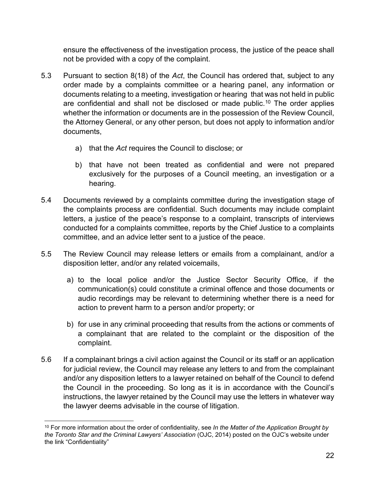ensure the effectiveness of the investigation process, the justice of the peace shall not be provided with a copy of the complaint.

- 5.3 Pursuant to section 8(18) of the *Act*, the Council has ordered that, subject to any order made by a complaints committee or a hearing panel, any information or documents relating to a meeting, investigation or hearing that was not held in public are confidential and shall not be disclosed or made public.<sup>[10](#page-21-0)</sup> The order applies whether the information or documents are in the possession of the Review Council, the Attorney General, or any other person, but does not apply to information and/or documents,
	- a) that the *Act* requires the Council to disclose; or
	- b) that have not been treated as confidential and were not prepared exclusively for the purposes of a Council meeting, an investigation or a hearing.
- 5.4 Documents reviewed by a complaints committee during the investigation stage of the complaints process are confidential. Such documents may include complaint letters, a justice of the peace's response to a complaint, transcripts of interviews conducted for a complaints committee, reports by the Chief Justice to a complaints committee, and an advice letter sent to a justice of the peace.
- 5.5 The Review Council may release letters or emails from a complainant, and/or a disposition letter, and/or any related voicemails,
	- a) to the local police and/or the Justice Sector Security Office, if the communication(s) could constitute a criminal offence and those documents or audio recordings may be relevant to determining whether there is a need for action to prevent harm to a person and/or property; or
	- b) for use in any criminal proceeding that results from the actions or comments of a complainant that are related to the complaint or the disposition of the complaint.
- 5.6 If a complainant brings a civil action against the Council or its staff or an application for judicial review, the Council may release any letters to and from the complainant and/or any disposition letters to a lawyer retained on behalf of the Council to defend the Council in the proceeding. So long as it is in accordance with the Council's instructions, the lawyer retained by the Council may use the letters in whatever way the lawyer deems advisable in the course of litigation.

<span id="page-21-0"></span><sup>10</sup> For more information about the order of confidentiality, see *In the Matter of the Application Brought by the Toronto Star and the Criminal Lawyers' Association* (OJC, 2014) posted on the OJC's website under the link "Confidentiality"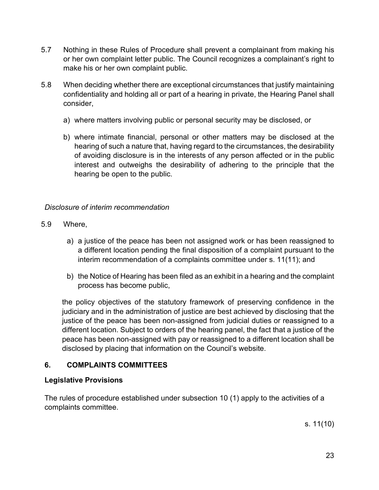- 5.7 Nothing in these Rules of Procedure shall prevent a complainant from making his or her own complaint letter public. The Council recognizes a complainant's right to make his or her own complaint public.
- 5.8 When deciding whether there are exceptional circumstances that justify maintaining confidentiality and holding all or part of a hearing in private, the Hearing Panel shall consider,
	- a) where matters involving public or personal security may be disclosed, or
	- b) where intimate financial, personal or other matters may be disclosed at the hearing of such a nature that, having regard to the circumstances, the desirability of avoiding disclosure is in the interests of any person affected or in the public interest and outweighs the desirability of adhering to the principle that the hearing be open to the public.

### <span id="page-22-0"></span>*Disclosure of interim recommendation*

- 5.9 Where,
	- a) a justice of the peace has been not assigned work or has been reassigned to a different location pending the final disposition of a complaint pursuant to the interim recommendation of a complaints committee under s. 11(11); and
	- b) the Notice of Hearing has been filed as an exhibit in a hearing and the complaint process has become public,

the policy objectives of the statutory framework of preserving confidence in the judiciary and in the administration of justice are best achieved by disclosing that the justice of the peace has been non-assigned from judicial duties or reassigned to a different location. Subject to orders of the hearing panel, the fact that a justice of the peace has been non-assigned with pay or reassigned to a different location shall be disclosed by placing that information on the Council's website.

# <span id="page-22-1"></span>**6. COMPLAINTS COMMITTEES**

# <span id="page-22-2"></span>**Legislative Provisions**

The rules of procedure established under subsection 10 (1) apply to the activities of a complaints committee.

s. 11(10)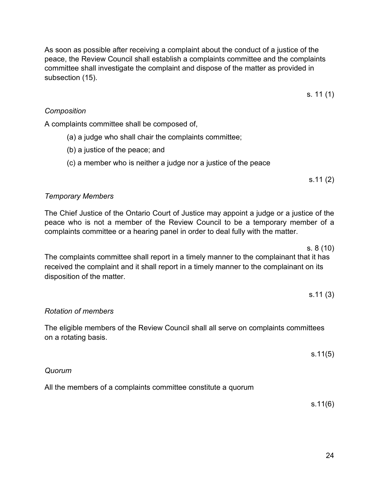As soon as possible after receiving a complaint about the conduct of a justice of the peace, the Review Council shall establish a complaints committee and the complaints committee shall investigate the complaint and dispose of the matter as provided in subsection (15).

s. 11 (1)

# <span id="page-23-0"></span>*Composition*

A complaints committee shall be composed of,

- (a) a judge who shall chair the complaints committee;
- (b) a justice of the peace; and
- (c) a member who is neither a judge nor a justice of the peace

s.11 (2)

# <span id="page-23-1"></span>*[Temporary Members](#page-0-0)*

The Chief Justice of the Ontario Court of Justice may appoint a judge or a justice of the peace who is not a member of the Review Council to be a temporary member of a complaints committee or a hearing panel in order to deal fully with the matter.

s. 8 (10) The complaints committee shall report in a timely manner to the complainant that it has received the complaint and it shall report in a timely manner to the complainant on its disposition of the matter.

s.11 (3)

# <span id="page-23-2"></span>*Rotation of members*

The eligible members of the Review Council shall all serve on complaints committees on a rotating basis.

s.11(5)

#### <span id="page-23-3"></span>*Quorum*

All the members of a complaints committee constitute a quorum

s.11(6)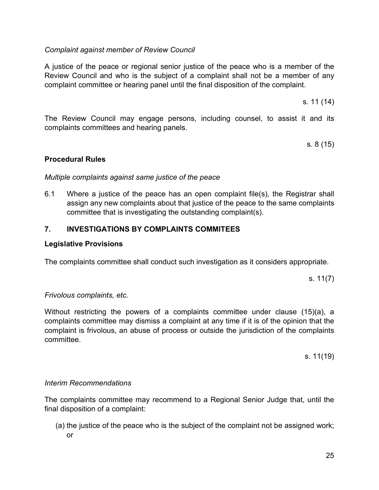# <span id="page-24-0"></span>*[Complaint against member of Review Council](#page-0-0)*

A justice of the peace or regional senior justice of the peace who is a member of the Review Council and who is the subject of a complaint shall not be a member of any complaint committee or hearing panel until the final disposition of the complaint.

s. 11 (14)

The Review Council may engage persons, including counsel, to assist it and its complaints committees and hearing panels.

s. 8 (15)

#### <span id="page-24-1"></span>**Procedural Rules**

#### <span id="page-24-2"></span>*Multiple complaints against same justice of the peace*

6.1 Where a justice of the peace has an open complaint file(s), the Registrar shall assign any new complaints about that justice of the peace to the same complaints committee that is investigating the outstanding complaint(s).

# <span id="page-24-3"></span>**7. INVESTIGATIONS BY COMPLAINTS COMMITEES**

#### <span id="page-24-4"></span>**Legislative Provisions**

The complaints committee shall conduct such investigation as it considers appropriate.

s. 11(7)

#### <span id="page-24-5"></span>*Frivolous complaints, etc.*

Without restricting the powers of a complaints committee under clause (15)(a), a complaints committee may dismiss a complaint at any time if it is of the opinion that the complaint is frivolous, an abuse of process or outside the jurisdiction of the complaints committee.

s. 11(19)

#### <span id="page-24-6"></span>*Interim Recommendations*

The complaints committee may recommend to a Regional Senior Judge that, until the final disposition of a complaint:

(a) the justice of the peace who is the subject of the complaint not be assigned work; or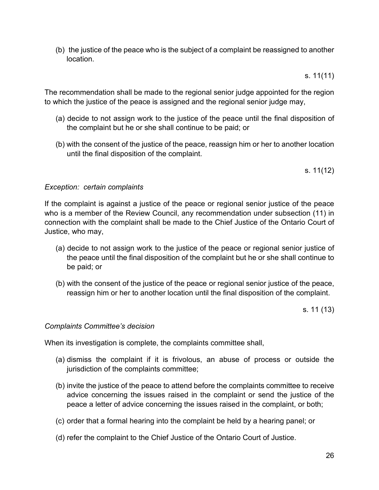(b) the justice of the peace who is the subject of a complaint be reassigned to another location.

s. 11(11)

The recommendation shall be made to the regional senior judge appointed for the region to which the justice of the peace is assigned and the regional senior judge may,

- (a) decide to not assign work to the justice of the peace until the final disposition of the complaint but he or she shall continue to be paid; or
- (b) with the consent of the justice of the peace, reassign him or her to another location until the final disposition of the complaint.

s. 11(12)

#### <span id="page-25-0"></span>*[Exception: certain complaints](#page-0-0)*

If the complaint is against a justice of the peace or regional senior justice of the peace who is a member of the Review Council, any recommendation under subsection (11) in connection with the complaint shall be made to the Chief Justice of the Ontario Court of Justice, who may,

- (a) decide to not assign work to the justice of the peace or regional senior justice of the peace until the final disposition of the complaint but he or she shall continue to be paid; or
- (b) with the consent of the justice of the peace or regional senior justice of the peace, reassign him or her to another location until the final disposition of the complaint.

s. 11 (13)

#### <span id="page-25-1"></span>*Complaints Committee's decision*

When its investigation is complete, the complaints committee shall,

- (a) dismiss the complaint if it is frivolous, an abuse of process or outside the jurisdiction of the complaints committee;
- (b) invite the justice of the peace to attend before the complaints committee to receive advice concerning the issues raised in the complaint or send the justice of the peace a letter of advice concerning the issues raised in the complaint, or both;
- (c) order that a formal hearing into the complaint be held by a hearing panel; or
- (d) refer the complaint to the Chief Justice of the Ontario Court of Justice.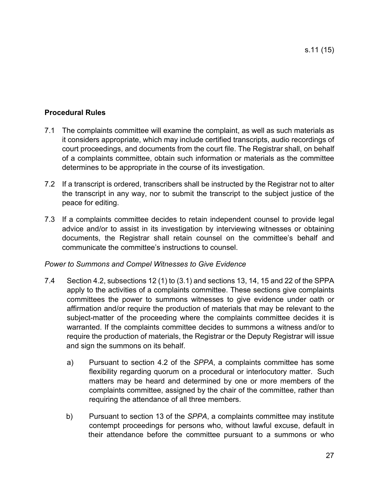# <span id="page-26-0"></span>**Procedural Rules**

- 7.1 The complaints committee will examine the complaint, as well as such materials as it considers appropriate, which may include certified transcripts, audio recordings of court proceedings, and documents from the court file. The Registrar shall, on behalf of a complaints committee, obtain such information or materials as the committee determines to be appropriate in the course of its investigation.
- 7.2 If a transcript is ordered, transcribers shall be instructed by the Registrar not to alter the transcript in any way, nor to submit the transcript to the subject justice of the peace for editing.
- 7.3 If a complaints committee decides to retain independent counsel to provide legal advice and/or to assist in its investigation by interviewing witnesses or obtaining documents, the Registrar shall retain counsel on the committee's behalf and communicate the committee's instructions to counsel.

# <span id="page-26-1"></span>*Power to Summons and Compel Witnesses to Give Evidence*

- 7.4 Section 4.2, subsections 12 (1) to (3.1) and sections 13, 14, 15 and 22 of the SPPA apply to the activities of a complaints committee. These sections give complaints committees the power to summons witnesses to give evidence under oath or affirmation and/or require the production of materials that may be relevant to the subject-matter of the proceeding where the complaints committee decides it is warranted. If the complaints committee decides to summons a witness and/or to require the production of materials, the Registrar or the Deputy Registrar will issue and sign the summons on its behalf.
	- a) Pursuant to section 4.2 of the *SPPA*, a complaints committee has some flexibility regarding quorum on a procedural or interlocutory matter. Such matters may be heard and determined by one or more members of the complaints committee, assigned by the chair of the committee, rather than requiring the attendance of all three members.
	- b) Pursuant to section 13 of the *SPPA*, a complaints committee may institute contempt proceedings for persons who, without lawful excuse, default in their attendance before the committee pursuant to a summons or who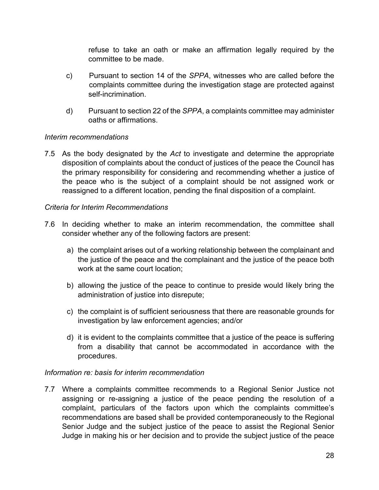refuse to take an oath or make an affirmation legally required by the committee to be made.

- c) Pursuant to section 14 of the *SPPA*, witnesses who are called before the complaints committee during the investigation stage are protected against self-incrimination.
- d) Pursuant to section 22 of the *SPPA*, a complaints committee may administer oaths or affirmations.

#### <span id="page-27-0"></span>*[Interim recommendations](#page-0-0)*

7.5 As the body designated by the *Act* to investigate and determine the appropriate disposition of complaints about the conduct of justices of the peace the Council has the primary responsibility for considering and recommending whether a justice of the peace who is the subject of a complaint should be not assigned work or reassigned to a different location, pending the final disposition of a complaint.

### <span id="page-27-1"></span>*[Criteria for Interim Recommendations](#page-0-0)*

- 7.6 In deciding whether to make an interim recommendation, the committee shall consider whether any of the following factors are present:
	- a) the complaint arises out of a working relationship between the complainant and the justice of the peace and the complainant and the justice of the peace both work at the same court location;
	- b) allowing the justice of the peace to continue to preside would likely bring the administration of justice into disrepute;
	- c) the complaint is of sufficient seriousness that there are reasonable grounds for investigation by law enforcement agencies; and/or
	- d) it is evident to the complaints committee that a justice of the peace is suffering from a disability that cannot be accommodated in accordance with the procedures.

#### <span id="page-27-2"></span>*[Information re: basis for interim recommendation](#page-0-0)*

7.7 Where a complaints committee recommends to a Regional Senior Justice not assigning or re-assigning a justice of the peace pending the resolution of a complaint, particulars of the factors upon which the complaints committee's recommendations are based shall be provided contemporaneously to the Regional Senior Judge and the subject justice of the peace to assist the Regional Senior Judge in making his or her decision and to provide the subject justice of the peace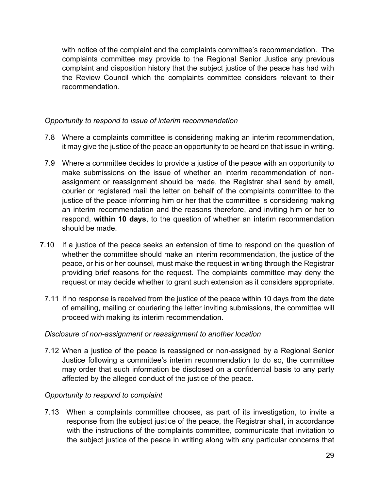with notice of the complaint and the complaints committee's recommendation. The complaints committee may provide to the Regional Senior Justice any previous complaint and disposition history that the subject justice of the peace has had with the Review Council which the complaints committee considers relevant to their recommendation.

# <span id="page-28-0"></span>*Opportunity to respond to issue of interim recommendation*

- 7.8 Where a complaints committee is considering making an interim recommendation, it may give the justice of the peace an opportunity to be heard on that issue in writing.
- 7.9 Where a committee decides to provide a justice of the peace with an opportunity to make submissions on the issue of whether an interim recommendation of nonassignment or reassignment should be made, the Registrar shall send by email, courier or registered mail the letter on behalf of the complaints committee to the justice of the peace informing him or her that the committee is considering making an interim recommendation and the reasons therefore, and inviting him or her to respond, **within 10 days**, to the question of whether an interim recommendation should be made.
- 7.10 If a justice of the peace seeks an extension of time to respond on the question of whether the committee should make an interim recommendation, the justice of the peace, or his or her counsel, must make the request in writing through the Registrar providing brief reasons for the request. The complaints committee may deny the request or may decide whether to grant such extension as it considers appropriate.
	- 7.11 If no response is received from the justice of the peace within 10 days from the date of emailing, mailing or couriering the letter inviting submissions, the committee will proceed with making its interim recommendation.

#### <span id="page-28-1"></span>*Disclosure of non-assignment or reassignment to another location*

7.12 When a justice of the peace is reassigned or non-assigned by a Regional Senior Justice following a committee's interim recommendation to do so, the committee may order that such information be disclosed on a confidential basis to any party affected by the alleged conduct of the justice of the peace.

# <span id="page-28-2"></span>*Opportunity to respond to complaint*

7.13 When a complaints committee chooses, as part of its investigation, to invite a response from the subject justice of the peace, the Registrar shall, in accordance with the instructions of the complaints committee, communicate that invitation to the subject justice of the peace in writing along with any particular concerns that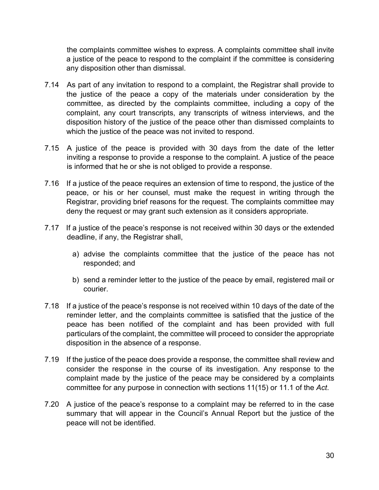the complaints committee wishes to express. A complaints committee shall invite a justice of the peace to respond to the complaint if the committee is considering any disposition other than dismissal.

- 7.14 As part of any invitation to respond to a complaint, the Registrar shall provide to the justice of the peace a copy of the materials under consideration by the committee, as directed by the complaints committee, including a copy of the complaint, any court transcripts, any transcripts of witness interviews, and the disposition history of the justice of the peace other than dismissed complaints to which the justice of the peace was not invited to respond.
- 7.15 A justice of the peace is provided with 30 days from the date of the letter inviting a response to provide a response to the complaint. A justice of the peace is informed that he or she is not obliged to provide a response.
- 7.16 If a justice of the peace requires an extension of time to respond, the justice of the peace, or his or her counsel, must make the request in writing through the Registrar, providing brief reasons for the request. The complaints committee may deny the request or may grant such extension as it considers appropriate.
- 7.17 If a justice of the peace's response is not received within 30 days or the extended deadline, if any, the Registrar shall,
	- a) advise the complaints committee that the justice of the peace has not responded; and
	- b) send a reminder letter to the justice of the peace by email, registered mail or courier.
- 7.18 If a justice of the peace's response is not received within 10 days of the date of the reminder letter, and the complaints committee is satisfied that the justice of the peace has been notified of the complaint and has been provided with full particulars of the complaint, the committee will proceed to consider the appropriate disposition in the absence of a response.
- 7.19 If the justice of the peace does provide a response, the committee shall review and consider the response in the course of its investigation. Any response to the complaint made by the justice of the peace may be considered by a complaints committee for any purpose in connection with sections 11(15) or 11.1 of the *Act*.
- 7.20 A justice of the peace's response to a complaint may be referred to in the case summary that will appear in the Council's Annual Report but the justice of the peace will not be identified.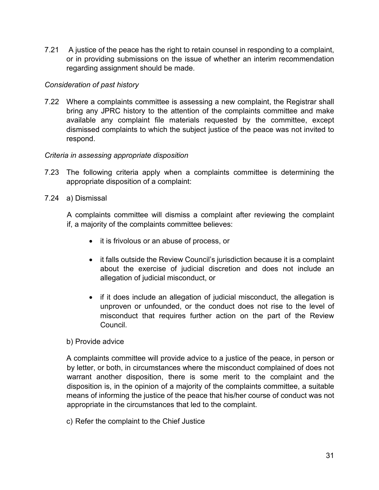7.21 A justice of the peace has the right to retain counsel in responding to a complaint, or in providing submissions on the issue of whether an interim recommendation regarding assignment should be made.

# <span id="page-30-0"></span>*Consideration of past history*

7.22 Where a complaints committee is assessing a new complaint, the Registrar shall bring any JPRC history to the attention of the complaints committee and make available any complaint file materials requested by the committee, except dismissed complaints to which the subject justice of the peace was not invited to respond.

### <span id="page-30-1"></span>*Criteria in assessing appropriate disposition*

- 7.23 The following criteria apply when a complaints committee is determining the appropriate disposition of a complaint:
- 7.24 a) Dismissal

 A complaints committee will dismiss a complaint after reviewing the complaint if, a majority of the complaints committee believes:

- it is frivolous or an abuse of process, or
- it falls outside the Review Council's jurisdiction because it is a complaint about the exercise of judicial discretion and does not include an allegation of judicial misconduct, or
- if it does include an allegation of judicial misconduct, the allegation is unproven or unfounded, or the conduct does not rise to the level of misconduct that requires further action on the part of the Review Council.

#### b) Provide advice

 A complaints committee will provide advice to a justice of the peace, in person or by letter, or both, in circumstances where the misconduct complained of does not warrant another disposition, there is some merit to the complaint and the disposition is, in the opinion of a majority of the complaints committee, a suitable means of informing the justice of the peace that his/her course of conduct was not appropriate in the circumstances that led to the complaint.

c) Refer the complaint to the Chief Justice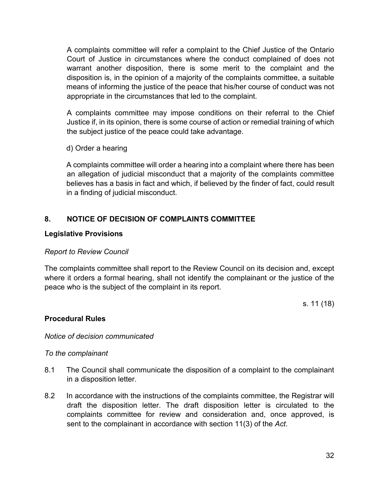A complaints committee will refer a complaint to the Chief Justice of the Ontario Court of Justice in circumstances where the conduct complained of does not warrant another disposition, there is some merit to the complaint and the disposition is, in the opinion of a majority of the complaints committee, a suitable means of informing the justice of the peace that his/her course of conduct was not appropriate in the circumstances that led to the complaint.

 A complaints committee may impose conditions on their referral to the Chief Justice if, in its opinion, there is some course of action or remedial training of which the subject justice of the peace could take advantage.

d) Order a hearing

 A complaints committee will order a hearing into a complaint where there has been an allegation of judicial misconduct that a majority of the complaints committee believes has a basis in fact and which, if believed by the finder of fact, could result in a finding of judicial misconduct.

# <span id="page-31-0"></span>**8. NOTICE OF DECISION OF COMPLAINTS COMMITTEE**

### <span id="page-31-1"></span>**Legislative Provisions**

#### <span id="page-31-2"></span>*[Report to Review Council](#page-0-0)*

The complaints committee shall report to the Review Council on its decision and, except where it orders a formal hearing, shall not identify the complainant or the justice of the peace who is the subject of the complaint in its report.

s. 11 (18)

# <span id="page-31-3"></span>**Procedural Rules**

#### <span id="page-31-5"></span><span id="page-31-4"></span>*[Notice of decision](#page-0-0) communicated*

#### *To the complainant*

- 8.1 The Council shall communicate the disposition of a complaint to the complainant in a disposition letter.
- 8.2 In accordance with the instructions of the complaints committee, the Registrar will draft the disposition letter. The draft disposition letter is circulated to the complaints committee for review and consideration and, once approved, is sent to the complainant in accordance with section 11(3) of the *Act*.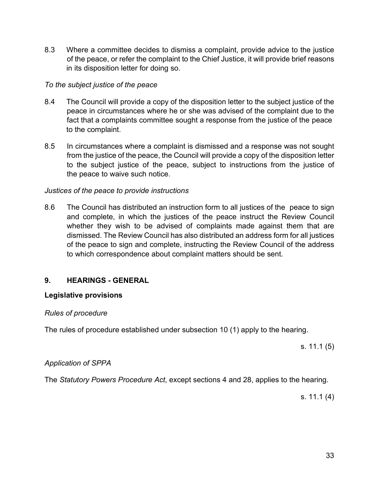8.3 Where a committee decides to dismiss a complaint, provide advice to the justice of the peace, or refer the complaint to the Chief Justice, it will provide brief reasons in its disposition letter for doing so.

### <span id="page-32-0"></span>*To the subject justice of the peace*

- 8.4 The Council will provide a copy of the disposition letter to the subject justice of the peace in circumstances where he or she was advised of the complaint due to the fact that a complaints committee sought a response from the justice of the peace to the complaint.
- 8.5 In circumstances where a complaint is dismissed and a response was not sought from the justice of the peace, the Council will provide a copy of the disposition letter to the subject justice of the peace, subject to instructions from the justice of the peace to waive such notice.

### <span id="page-32-1"></span>*Justices of the peace to provide instructions*

8.6 The Council has distributed an instruction form to all justices of the peace to sign and complete, in which the justices of the peace instruct the Review Council whether they wish to be advised of complaints made against them that are dismissed. The Review Council has also distributed an address form for all justices of the peace to sign and complete, instructing the Review Council of the address to which correspondence about complaint matters should be sent.

# <span id="page-32-2"></span>**9. HEARINGS - GENERAL**

#### <span id="page-32-3"></span>**Legislative provisions**

#### <span id="page-32-4"></span>*[Rules of procedure](#page-0-0)*

The rules of procedure established under subsection 10 (1) apply to the hearing.

s. 11.1 (5)

#### <span id="page-32-5"></span>*[Application of SPPA](#page-0-0)*

The *Statutory Powers Procedure Act*, except sections 4 and 28, applies to the hearing.

s. 11.1 (4)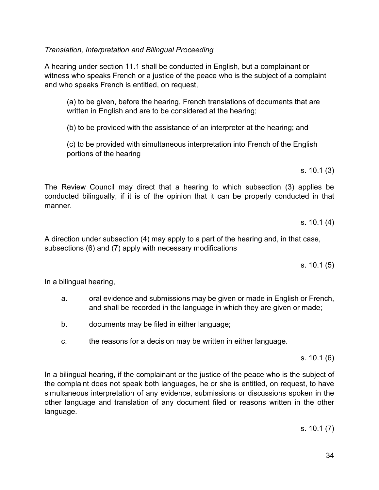<span id="page-33-0"></span>*Translation, Interpretation and Bilingual Proceeding* 

A hearing under section 11.1 shall be conducted in English, but a complainant or witness who speaks French or a justice of the peace who is the subject of a complaint and who speaks French is entitled, on request,

(a) to be given, before the hearing, French translations of documents that are written in English and are to be considered at the hearing;

(b) to be provided with the assistance of an interpreter at the hearing; and

(c) to be provided with simultaneous interpretation into French of the English portions of the hearing

s. 10.1 (3)

The Review Council may direct that a hearing to which subsection (3) applies be conducted bilingually, if it is of the opinion that it can be properly conducted in that manner.

s. 10.1 (4)

A direction under subsection (4) may apply to a part of the hearing and, in that case, subsections (6) and (7) apply with necessary modifications

s. 10.1 (5)

In a bilingual hearing,

- a. oral evidence and submissions may be given or made in English or French, and shall be recorded in the language in which they are given or made;
- b. documents may be filed in either language;
- c. the reasons for a decision may be written in either language.

s. 10.1 (6)

In a bilingual hearing, if the complainant or the justice of the peace who is the subject of the complaint does not speak both languages, he or she is entitled, on request, to have simultaneous interpretation of any evidence, submissions or discussions spoken in the other language and translation of any document filed or reasons written in the other language.

s. 10.1 (7)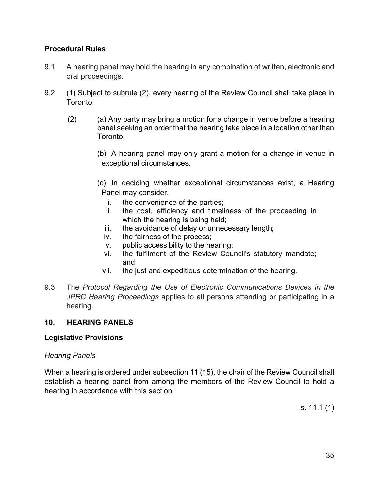# <span id="page-34-0"></span>**Procedural Rules**

- 9.1 A hearing panel may hold the hearing in any combination of written, electronic and oral proceedings.
- 9.2 (1) Subject to subrule (2), every hearing of the Review Council shall take place in Toronto.
	- (2) (a) Any party may bring a motion for a change in venue before a hearing panel seeking an order that the hearing take place in a location other than Toronto.
		- (b) A hearing panel may only grant a motion for a change in venue in exceptional circumstances.
		- (c) In deciding whether exceptional circumstances exist, a Hearing Panel may consider,
			- i. the convenience of the parties;
			- ii. the cost, efficiency and timeliness of the proceeding in which the hearing is being held;
			- iii. the avoidance of delay or unnecessary length;
			- iv. the fairness of the process;
			- v. public accessibility to the hearing;
			- vi. the fulfilment of the Review Council's statutory mandate; and
			- vii. the just and expeditious determination of the hearing.
- 9.3 The *Protocol Regarding the Use of Electronic Communications Devices in the JPRC Hearing Proceedings* applies to all persons attending or participating in a hearing.

# <span id="page-34-1"></span>**10. HEARING PANELS**

# <span id="page-34-2"></span>**Legislative Provisions**

# <span id="page-34-3"></span>*Hearing Panels*

When a hearing is ordered under subsection 11 (15), the chair of the Review Council shall establish a hearing panel from among the members of the Review Council to hold a hearing in accordance with this section

s. 11.1 (1)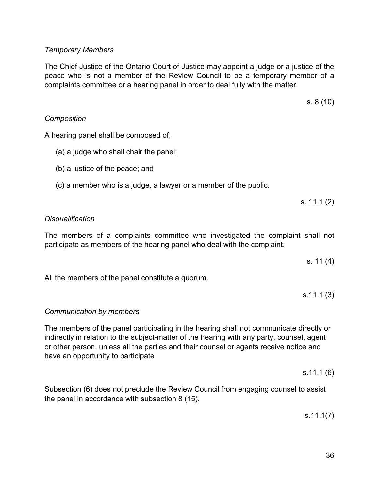# <span id="page-35-0"></span>*Temporary Members*

The Chief Justice of the Ontario Court of Justice may appoint a judge or a justice of the peace who is not a member of the Review Council to be a temporary member of a complaints committee or a hearing panel in order to deal fully with the matter.

s. 8 (10)

# <span id="page-35-1"></span>*Composition*

A hearing panel shall be composed of,

- (a) a judge who shall chair the panel;
- (b) a justice of the peace; and
- (c) a member who is a judge, a lawyer or a member of the public.

s. 11.1 (2)

# <span id="page-35-2"></span>*[Disqualification](#page-0-0)*

The members of a complaints committee who investigated the complaint shall not participate as members of the hearing panel who deal with the complaint.

s. 11 (4)

All the members of the panel constitute a quorum.

s.11.1 (3)

# <span id="page-35-3"></span>*[Communication by members](#page-0-0)*

The members of the panel participating in the hearing shall not communicate directly or indirectly in relation to the subject-matter of the hearing with any party, counsel, agent or other person, unless all the parties and their counsel or agents receive notice and have an opportunity to participate

s.11.1 (6)

Subsection (6) does not preclude the Review Council from engaging counsel to assist the panel in accordance with subsection 8 (15).

s.11.1(7)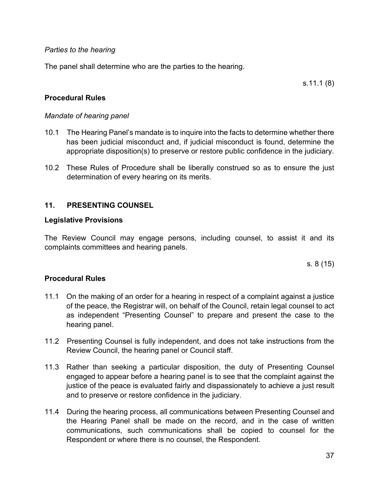### *[Parties to the hearing](#page-0-0)*

The panel shall determine who are the parties to the hearing.

s.11.1 (8)

# **Procedural Rules**

### *Mandate of hearing panel*

- 10.1 The Hearing Panel's mandate is to inquire into the facts to determine whether there has been judicial misconduct and, if judicial misconduct is found, determine the appropriate disposition(s) to preserve or restore public confidence in the judiciary.
- 10.2 These Rules of Procedure shall be liberally construed so as to ensure the just determination of every hearing on its merits.

# **11. PRESENTING COUNSEL**

### **Legislative Provisions**

The Review Council may engage persons, including counsel, to assist it and its complaints committees and hearing panels.

s. 8 (15)

- 11.1 On the making of an order for a hearing in respect of a complaint against a justice of the peace, the Registrar will, on behalf of the Council, retain legal counsel to act as independent "Presenting Counsel" to prepare and present the case to the hearing panel.
- 11.2 Presenting Counsel is fully independent, and does not take instructions from the Review Council, the hearing panel or Council staff.
- 11.3 Rather than seeking a particular disposition, the duty of Presenting Counsel engaged to appear before a hearing panel is to see that the complaint against the justice of the peace is evaluated fairly and dispassionately to achieve a just result and to preserve or restore confidence in the judiciary.
- 11.4 During the hearing process, all communications between Presenting Counsel and the Hearing Panel shall be made on the record, and in the case of written communications, such communications shall be copied to counsel for the Respondent or where there is no counsel, the Respondent.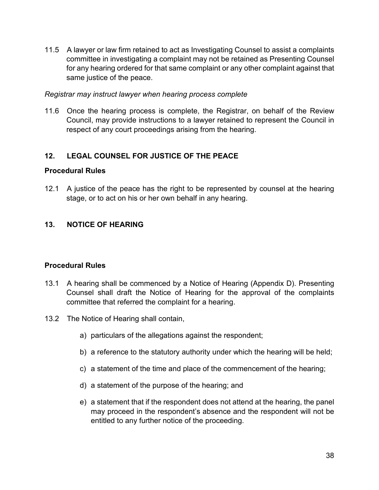11.5 A lawyer or law firm retained to act as Investigating Counsel to assist a complaints committee in investigating a complaint may not be retained as Presenting Counsel for any hearing ordered for that same complaint or any other complaint against that same justice of the peace.

### *Registrar may instruct lawyer when hearing process complete*

11.6 Once the hearing process is complete, the Registrar, on behalf of the Review Council, may provide instructions to a lawyer retained to represent the Council in respect of any court proceedings arising from the hearing.

# **12. LEGAL COUNSEL FOR JUSTICE OF THE PEACE**

### **Procedural Rules**

12.1 A justice of the peace has the right to be represented by counsel at the hearing stage, or to act on his or her own behalf in any hearing.

# **13. NOTICE OF HEARING**

- 13.1 A hearing shall be commenced by a Notice of Hearing (Appendix D). Presenting Counsel shall draft the Notice of Hearing for the approval of the complaints committee that referred the complaint for a hearing.
- 13.2 The Notice of Hearing shall contain,
	- a) particulars of the allegations against the respondent;
	- b) a reference to the statutory authority under which the hearing will be held;
	- c) a statement of the time and place of the commencement of the hearing;
	- d) a statement of the purpose of the hearing; and
	- e) a statement that if the respondent does not attend at the hearing, the panel may proceed in the respondent's absence and the respondent will not be entitled to any further notice of the proceeding.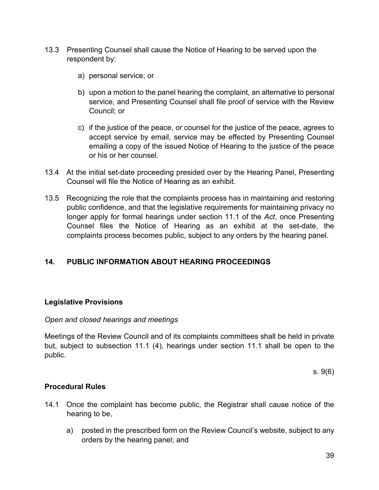- 13.3 Presenting Counsel shall cause the Notice of Hearing to be served upon the respondent by:
	- a) personal service; or
	- b) upon a motion to the panel hearing the complaint, an alternative to personal service, and Presenting Counsel shall file proof of service with the Review Council; or
	- c) if the justice of the peace, or counsel for the justice of the peace, agrees to accept service by email, service may be effected by Presenting Counsel emailing a copy of the issued Notice of Hearing to the justice of the peace or his or her counsel.
- 13.4 At the initial set-date proceeding presided over by the Hearing Panel, Presenting Counsel will file the Notice of Hearing as an exhibit.
- 13.5 Recognizing the role that the complaints process has in maintaining and restoring public confidence, and that the legislative requirements for maintaining privacy no longer apply for formal hearings under section 11.1 of the *Act*, once Presenting Counsel files the Notice of Hearing as an exhibit at the set-date, the complaints process becomes public, subject to any orders by the hearing panel.

# **14. PUBLIC INFORMATION ABOUT HEARING PROCEEDINGS**

### **Legislative Provisions**

### *Open and closed hearings and meetings*

Meetings of the Review Council and of its complaints committees shall be held in private but, subject to subsection 11.1 (4), hearings under section 11.1 shall be open to the public.

s. 9(6)

- 14.1 Once the complaint has become public, the Registrar shall cause notice of the hearing to be,
	- a) posted in the prescribed form on the Review Council's website, subject to any orders by the hearing panel; and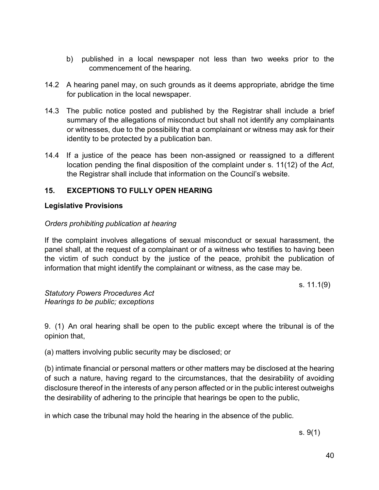- b) published in a local newspaper not less than two weeks prior to the commencement of the hearing.
- 14.2 A hearing panel may, on such grounds as it deems appropriate, abridge the time for publication in the local newspaper.
- 14.3 The public notice posted and published by the Registrar shall include a brief summary of the allegations of misconduct but shall not identify any complainants or witnesses, due to the possibility that a complainant or witness may ask for their identity to be protected by a publication ban.
- 14.4 If a justice of the peace has been non-assigned or reassigned to a different location pending the final disposition of the complaint under s. 11(12) of the *Act*, the Registrar shall include that information on the Council's website.

# **15. EXCEPTIONS TO FULLY OPEN HEARING**

# **Legislative Provisions**

### *Orders prohibiting publication at hearing*

If the complaint involves allegations of sexual misconduct or sexual harassment, the panel shall, at the request of a complainant or of a witness who testifies to having been the victim of such conduct by the justice of the peace, prohibit the publication of information that might identify the complainant or witness, as the case may be.

s. 11.1(9)

*Statutory Powers Procedures Act Hearings to be public; exceptions*

9. (1) An oral hearing shall be open to the public except where the tribunal is of the opinion that,

(a) matters involving public security may be disclosed; or

(b) intimate financial or personal matters or other matters may be disclosed at the hearing of such a nature, having regard to the circumstances, that the desirability of avoiding disclosure thereof in the interests of any person affected or in the public interest outweighs the desirability of adhering to the principle that hearings be open to the public,

in which case the tribunal may hold the hearing in the absence of the public.

s. 9(1)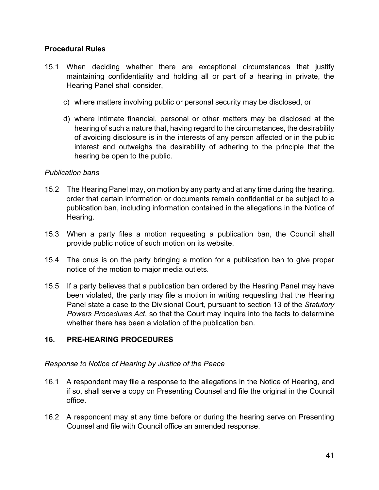### **Procedural Rules**

- 15.1 When deciding whether there are exceptional circumstances that justify maintaining confidentiality and holding all or part of a hearing in private, the Hearing Panel shall consider,
	- c) where matters involving public or personal security may be disclosed, or
	- d) where intimate financial, personal or other matters may be disclosed at the hearing of such a nature that, having regard to the circumstances, the desirability of avoiding disclosure is in the interests of any person affected or in the public interest and outweighs the desirability of adhering to the principle that the hearing be open to the public.

### *Publication bans*

- 15.2 The Hearing Panel may, on motion by any party and at any time during the hearing, order that certain information or documents remain confidential or be subject to a publication ban, including information contained in the allegations in the Notice of Hearing.
- 15.3 When a party files a motion requesting a publication ban, the Council shall provide public notice of such motion on its website.
- 15.4 The onus is on the party bringing a motion for a publication ban to give proper notice of the motion to major media outlets.
- 15.5 If a party believes that a publication ban ordered by the Hearing Panel may have been violated, the party may file a motion in writing requesting that the Hearing Panel state a case to the Divisional Court, pursuant to section 13 of the *Statutory Powers Procedures Act*, so that the Court may inquire into the facts to determine whether there has been a violation of the publication ban.

# **16. PRE-HEARING PROCEDURES**

### *[Response](#page-0-0) to Notice of Hearing by Justice of the Peace*

- 16.1 A respondent may file a response to the allegations in the Notice of Hearing, and if so, shall serve a copy on Presenting Counsel and file the original in the Council office.
- 16.2 A respondent may at any time before or during the hearing serve on Presenting Counsel and file with Council office an amended response.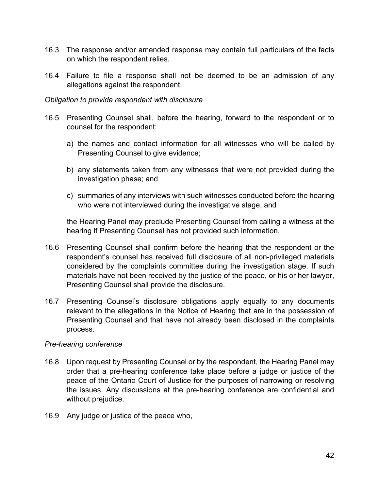- 16.3 The response and/or amended response may contain full particulars of the facts on which the respondent relies.
- 16.4 Failure to file a response shall not be deemed to be an admission of any allegations against the respondent.

#### *Obligation to provide respondent with disclosure*

- 16.5 Presenting Counsel shall, before the hearing, forward to the respondent or to counsel for the respondent:
	- a) the names and contact information for all witnesses who will be called by Presenting Counsel to give evidence;
	- b) any statements taken from any witnesses that were not provided during the investigation phase; and
	- c) summaries of any interviews with such witnesses conducted before the hearing who were not interviewed during the investigative stage, and

the Hearing Panel may preclude Presenting Counsel from calling a witness at the hearing if Presenting Counsel has not provided such information.

- 16.6 Presenting Counsel shall confirm before the hearing that the respondent or the respondent's counsel has received full disclosure of all non-privileged materials considered by the complaints committee during the investigation stage. If such materials have not been received by the justice of the peace, or his or her lawyer, Presenting Counsel shall provide the disclosure.
- 16.7 Presenting Counsel's disclosure obligations apply equally to any documents relevant to the allegations in the Notice of Hearing that are in the possession of Presenting Counsel and that have not already been disclosed in the complaints process.

### *[Pre-hearing conference](#page-0-0)*

- 16.8 Upon request by Presenting Counsel or by the respondent, the Hearing Panel may order that a pre-hearing conference take place before a judge or justice of the peace of the Ontario Court of Justice for the purposes of narrowing or resolving the issues. Any discussions at the pre-hearing conference are confidential and without prejudice.
- 16.9 Any judge or justice of the peace who,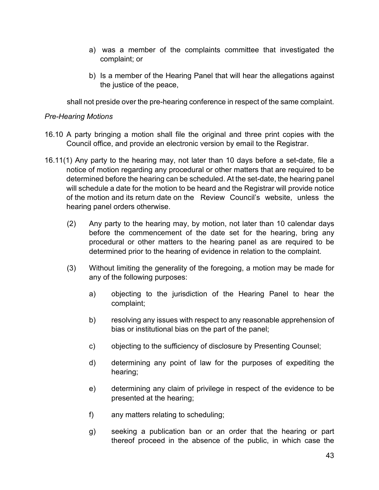- a) was a member of the complaints committee that investigated the complaint; or
- b) Is a member of the Hearing Panel that will hear the allegations against the justice of the peace,

shall not preside over the pre-hearing conference in respect of the same complaint.

### *Pre-Hearing Motions*

- 16.10 A party bringing a motion shall file the original and three print copies with the Council office, and provide an electronic version by email to the Registrar.
- 16.11(1) Any party to the hearing may, not later than 10 days before a set-date, file a notice of motion regarding any procedural or other matters that are required to be determined before the hearing can be scheduled. At the set-date, the hearing panel will schedule a date for the motion to be heard and the Registrar will provide notice of the motion and its return date on the Review Council's website, unless the hearing panel orders otherwise.
	- (2) Any party to the hearing may, by motion, not later than 10 calendar days before the commencement of the date set for the hearing, bring any procedural or other matters to the hearing panel as are required to be determined prior to the hearing of evidence in relation to the complaint.
	- (3) Without limiting the generality of the foregoing, a motion may be made for any of the following purposes:
		- a) objecting to the jurisdiction of the Hearing Panel to hear the complaint;
		- b) resolving any issues with respect to any reasonable apprehension of bias or institutional bias on the part of the panel;
		- c) objecting to the sufficiency of disclosure by Presenting Counsel;
		- d) determining any point of law for the purposes of expediting the hearing;
		- e) determining any claim of privilege in respect of the evidence to be presented at the hearing;
		- f) any matters relating to scheduling;
		- g) seeking a publication ban or an order that the hearing or part thereof proceed in the absence of the public, in which case the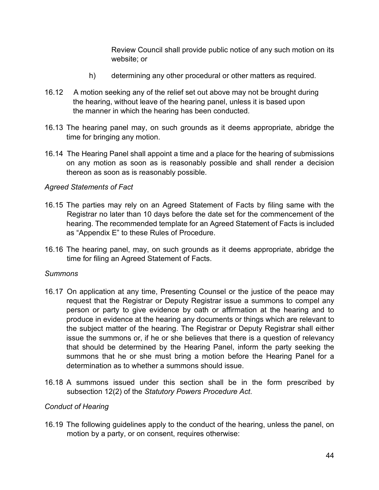Review Council shall provide public notice of any such motion on its website; or

- h) determining any other procedural or other matters as required.
- 16.12 A motion seeking any of the relief set out above may not be brought during the hearing, without leave of the hearing panel, unless it is based upon the manner in which the hearing has been conducted.
- 16.13 The hearing panel may, on such grounds as it deems appropriate, abridge the time for bringing any motion.
- 16.14 The Hearing Panel shall appoint a time and a place for the hearing of submissions on any motion as soon as is reasonably possible and shall render a decision thereon as soon as is reasonably possible.

### *Agreed Statements of Fact*

- 16.15 The parties may rely on an Agreed Statement of Facts by filing same with the Registrar no later than 10 days before the date set for the commencement of the hearing. The recommended template for an Agreed Statement of Facts is included as "Appendix E" to these Rules of Procedure.
- 16.16 The hearing panel, may, on such grounds as it deems appropriate, abridge the time for filing an Agreed Statement of Facts.

### *Summons*

- 16.17 On application at any time, Presenting Counsel or the justice of the peace may request that the Registrar or Deputy Registrar issue a summons to compel any person or party to give evidence by oath or affirmation at the hearing and to produce in evidence at the hearing any documents or things which are relevant to the subject matter of the hearing. The Registrar or Deputy Registrar shall either issue the summons or, if he or she believes that there is a question of relevancy that should be determined by the Hearing Panel, inform the party seeking the summons that he or she must bring a motion before the Hearing Panel for a determination as to whether a summons should issue.
- 16.18 A summons issued under this section shall be in the form prescribed by subsection 12(2) of the *Statutory Powers Procedure Act*.

### *Conduct of Hearing*

16.19 The following guidelines apply to the conduct of the hearing, unless the panel, on motion by a party, or on consent, requires otherwise: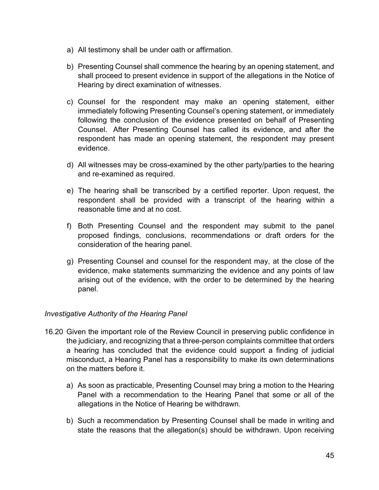- a) All testimony shall be under oath or affirmation.
- b) Presenting Counsel shall commence the hearing by an opening statement, and shall proceed to present evidence in support of the allegations in the Notice of Hearing by direct examination of witnesses.
- c) Counsel for the respondent may make an opening statement, either immediately following Presenting Counsel's opening statement, or immediately following the conclusion of the evidence presented on behalf of Presenting Counsel. After Presenting Counsel has called its evidence, and after the respondent has made an opening statement, the respondent may present evidence.
- d) All witnesses may be cross-examined by the other party/parties to the hearing and re-examined as required.
- e) The hearing shall be transcribed by a certified reporter. Upon request, the respondent shall be provided with a transcript of the hearing within a reasonable time and at no cost.
- f) Both Presenting Counsel and the respondent may submit to the panel proposed findings, conclusions, recommendations or draft orders for the consideration of the hearing panel.
- g) Presenting Counsel and counsel for the respondent may, at the close of the evidence, make statements summarizing the evidence and any points of law arising out of the evidence, with the order to be determined by the hearing panel.

# *Investigative Authority of the Hearing Panel*

- 16.20 Given the important role of the Review Council in preserving public confidence in the judiciary, and recognizing that a three-person complaints committee that orders a hearing has concluded that the evidence could support a finding of judicial misconduct, a Hearing Panel has a responsibility to make its own determinations on the matters before it.
	- a) As soon as practicable, Presenting Counsel may bring a motion to the Hearing Panel with a recommendation to the Hearing Panel that some or all of the allegations in the Notice of Hearing be withdrawn.
	- b) Such a recommendation by Presenting Counsel shall be made in writing and state the reasons that the allegation(s) should be withdrawn. Upon receiving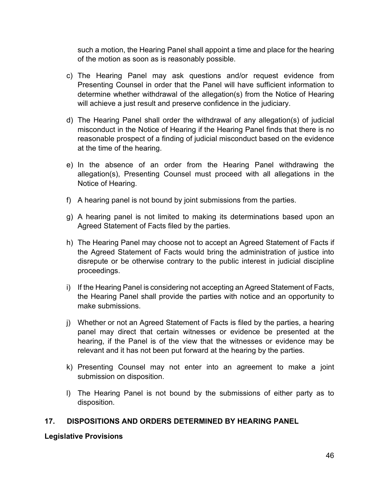such a motion, the Hearing Panel shall appoint a time and place for the hearing of the motion as soon as is reasonably possible.

- c) The Hearing Panel may ask questions and/or request evidence from Presenting Counsel in order that the Panel will have sufficient information to determine whether withdrawal of the allegation(s) from the Notice of Hearing will achieve a just result and preserve confidence in the judiciary.
- d) The Hearing Panel shall order the withdrawal of any allegation(s) of judicial misconduct in the Notice of Hearing if the Hearing Panel finds that there is no reasonable prospect of a finding of judicial misconduct based on the evidence at the time of the hearing.
- e) In the absence of an order from the Hearing Panel withdrawing the allegation(s), Presenting Counsel must proceed with all allegations in the Notice of Hearing.
- f) A hearing panel is not bound by joint submissions from the parties.
- g) A hearing panel is not limited to making its determinations based upon an Agreed Statement of Facts filed by the parties.
- h) The Hearing Panel may choose not to accept an Agreed Statement of Facts if the Agreed Statement of Facts would bring the administration of justice into disrepute or be otherwise contrary to the public interest in judicial discipline proceedings.
- i) If the Hearing Panel is considering not accepting an Agreed Statement of Facts, the Hearing Panel shall provide the parties with notice and an opportunity to make submissions.
- j) Whether or not an Agreed Statement of Facts is filed by the parties, a hearing panel may direct that certain witnesses or evidence be presented at the hearing, if the Panel is of the view that the witnesses or evidence may be relevant and it has not been put forward at the hearing by the parties.
- k) Presenting Counsel may not enter into an agreement to make a joint submission on disposition.
- l) The Hearing Panel is not bound by the submissions of either party as to disposition.

# **17. DISPOSITIONS AND ORDERS DETERMINED BY HEARING PANEL**

### **Legislative Provisions**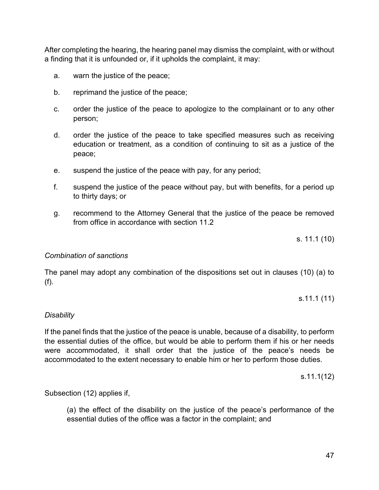After completing the hearing, the hearing panel may dismiss the complaint, with or without a finding that it is unfounded or, if it upholds the complaint, it may:

- a. warn the justice of the peace;
- b. reprimand the justice of the peace;
- c. order the justice of the peace to apologize to the complainant or to any other person;
- d. order the justice of the peace to take specified measures such as receiving education or treatment, as a condition of continuing to sit as a justice of the peace;
- e. suspend the justice of the peace with pay, for any period;
- f. suspend the justice of the peace without pay, but with benefits, for a period up to thirty days; or
- g. recommend to the Attorney General that the justice of the peace be removed from office in accordance with section 11.2

s. 11.1 (10)

### *[Combination of sanctions](#page-0-0)*

The panel may adopt any combination of the dispositions set out in clauses (10) (a) to (f).

s.11.1 (11)

### *Disability*

If the panel finds that the justice of the peace is unable, because of a disability, to perform the essential duties of the office, but would be able to perform them if his or her needs were accommodated, it shall order that the justice of the peace's needs be accommodated to the extent necessary to enable him or her to perform those duties.

s.11.1(12)

Subsection (12) applies if,

(a) the effect of the disability on the justice of the peace's performance of the essential duties of the office was a factor in the complaint; and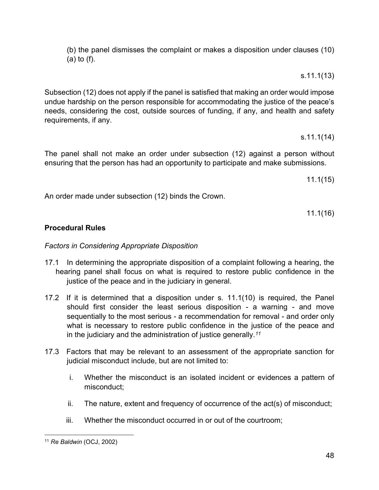(b) the panel dismisses the complaint or makes a disposition under clauses (10) (a) to (f).

s.11.1(13)

Subsection (12) does not apply if the panel is satisfied that making an order would impose undue hardship on the person responsible for accommodating the justice of the peace's needs, considering the cost, outside sources of funding, if any, and health and safety requirements, if any.

s.11.1(14)

The panel shall not make an order under subsection (12) against a person without ensuring that the person has had an opportunity to participate and make submissions.

11.1(15)

An order made under subsection (12) binds the Crown.

11.1(16)

# **Procedural Rules**

# *Factors in Considering Appropriate Disposition*

- 17.1 In determining the appropriate disposition of a complaint following a hearing, the hearing panel shall focus on what is required to restore public confidence in the justice of the peace and in the judiciary in general.
- 17.2 If it is determined that a disposition under s. 11.1(10) is required, the Panel should first consider the least serious disposition - a warning - and move sequentially to the most serious - a recommendation for removal - and order only what is necessary to restore public confidence in the justice of the peace and in the judiciary and the administration of justice generally.*[11](#page-47-0)*
- 17.3 Factors that may be relevant to an assessment of the appropriate sanction for judicial misconduct include, but are not limited to:
	- i. Whether the misconduct is an isolated incident or evidences a pattern of misconduct;
	- ii. The nature, extent and frequency of occurrence of the act(s) of misconduct;
	- iii. Whether the misconduct occurred in or out of the courtroom;

<span id="page-47-0"></span><sup>11</sup> *Re Baldwin* (OCJ, 2002)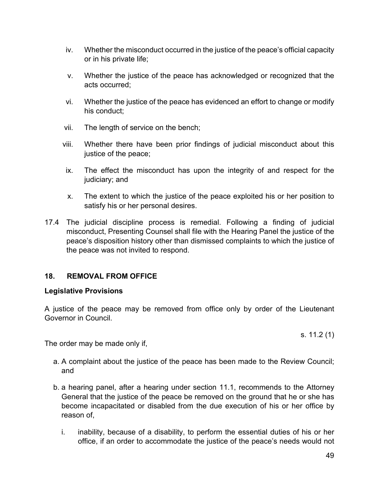- iv. Whether the misconduct occurred in the justice of the peace's official capacity or in his private life;
- v. Whether the justice of the peace has acknowledged or recognized that the acts occurred;
- vi. Whether the justice of the peace has evidenced an effort to change or modify his conduct;
- vii. The length of service on the bench;
- viii. Whether there have been prior findings of judicial misconduct about this justice of the peace;
- ix. The effect the misconduct has upon the integrity of and respect for the judiciary; and
- x. The extent to which the justice of the peace exploited his or her position to satisfy his or her personal desires.
- 17.4 The judicial discipline process is remedial. Following a finding of judicial misconduct, Presenting Counsel shall file with the Hearing Panel the justice of the peace's disposition history other than dismissed complaints to which the justice of the peace was not invited to respond.

# **18. REMOVAL FROM OFFICE**

### **Legislative Provisions**

A justice of the peace may be removed from office only by order of the Lieutenant Governor in Council.

s. 11.2 (1)

The order may be made only if,

- a. A complaint about the justice of the peace has been made to the Review Council; and
- b. a hearing panel, after a hearing under section 11.1, recommends to the Attorney General that the justice of the peace be removed on the ground that he or she has become incapacitated or disabled from the due execution of his or her office by reason of,
	- i. inability, because of a disability, to perform the essential duties of his or her office, if an order to accommodate the justice of the peace's needs would not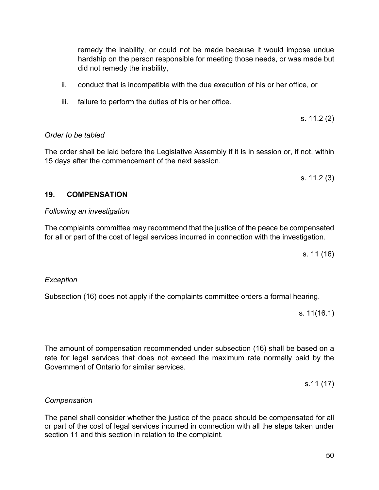remedy the inability, or could not be made because it would impose undue hardship on the person responsible for meeting those needs, or was made but did not remedy the inability,

- ii. conduct that is incompatible with the due execution of his or her office, or
- iii. failure to perform the duties of his or her office.

s. 11.2 (2)

### *[Order to be tabled](#page-0-0)*

The order shall be laid before the Legislative Assembly if it is in session or, if not, within 15 days after the commencement of the next session.

s. 11.2 (3)

### **19. COMPENSATION**

### *Following an investigation*

The complaints committee may recommend that the justice of the peace be compensated for all or part of the cost of legal services incurred in connection with the investigation.

s. 11 (16)

### *Exception*

Subsection (16) does not apply if the complaints committee orders a formal hearing.

s. 11(16.1)

The amount of compensation recommended under subsection (16) shall be based on a rate for legal services that does not exceed the maximum rate normally paid by the Government of Ontario for similar services.

s.11 (17)

# *Compensation*

The panel shall consider whether the justice of the peace should be compensated for all or part of the cost of legal services incurred in connection with all the steps taken under section 11 and this section in relation to the complaint.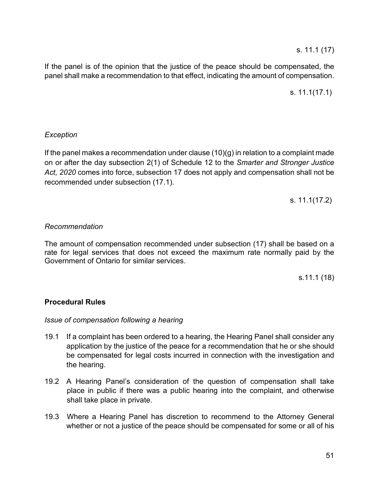s. 11.1 (17)

If the panel is of the opinion that the justice of the peace should be compensated, the panel shall make a recommendation to that effect, indicating the amount of compensation.

s. 11.1(17.1)

### *Exception*

If the panel makes a recommendation under clause (10)(g) in relation to a complaint made on or after the day subsection 2(1) of Schedule 12 to the *Smarter and Stronger Justice Act, 2020* comes into force, subsection 17 does not apply and compensation shall not be recommended under subsection (17.1).

s. 11.1(17.2)

### *Recommendation*

The amount of compensation recommended under subsection (17) shall be based on a rate for legal services that does not exceed the maximum rate normally paid by the Government of Ontario for similar services.

s.11.1 (18)

# **Procedural Rules**

### *Issue of compensation following a hearing*

- 19.1 If a complaint has been ordered to a hearing, the Hearing Panel shall consider any application by the justice of the peace for a recommendation that he or she should be compensated for legal costs incurred in connection with the investigation and the hearing.
- 19.2 A Hearing Panel's consideration of the question of compensation shall take place in public if there was a public hearing into the complaint, and otherwise shall take place in private.
- 19.3 Where a Hearing Panel has discretion to recommend to the Attorney General whether or not a justice of the peace should be compensated for some or all of his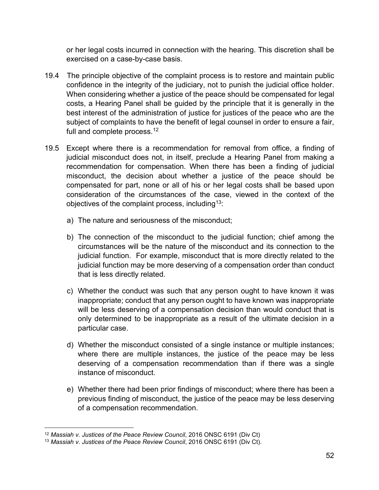or her legal costs incurred in connection with the hearing. This discretion shall be exercised on a case-by-case basis.

- 19.4 The principle objective of the complaint process is to restore and maintain public confidence in the integrity of the judiciary, not to punish the judicial office holder. When considering whether a justice of the peace should be compensated for legal costs, a Hearing Panel shall be guided by the principle that it is generally in the best interest of the administration of justice for justices of the peace who are the subject of complaints to have the benefit of legal counsel in order to ensure a fair, full and complete process.<sup>[12](#page-51-0)</sup>
- 19.5 Except where there is a recommendation for removal from office, a finding of judicial misconduct does not, in itself, preclude a Hearing Panel from making a recommendation for compensation. When there has been a finding of judicial misconduct, the decision about whether a justice of the peace should be compensated for part, none or all of his or her legal costs shall be based upon consideration of the circumstances of the case, viewed in the context of the objectives of the complaint process, including<sup>13</sup>:
	- a) The nature and seriousness of the misconduct;
	- b) The connection of the misconduct to the judicial function; chief among the circumstances will be the nature of the misconduct and its connection to the judicial function. For example, misconduct that is more directly related to the judicial function may be more deserving of a compensation order than conduct that is less directly related.
	- c) Whether the conduct was such that any person ought to have known it was inappropriate; conduct that any person ought to have known was inappropriate will be less deserving of a compensation decision than would conduct that is only determined to be inappropriate as a result of the ultimate decision in a particular case.
	- d) Whether the misconduct consisted of a single instance or multiple instances; where there are multiple instances, the justice of the peace may be less deserving of a compensation recommendation than if there was a single instance of misconduct.
	- e) Whether there had been prior findings of misconduct; where there has been a previous finding of misconduct, the justice of the peace may be less deserving of a compensation recommendation.

<span id="page-51-0"></span><sup>12</sup> *Massiah v. Justices of the Peace Review Council*, 2016 ONSC 6191 (Div Ct)

<span id="page-51-1"></span><sup>13</sup> *Massiah v. Justices of the Peace Review Council*, 2016 ONSC 6191 (Div Ct).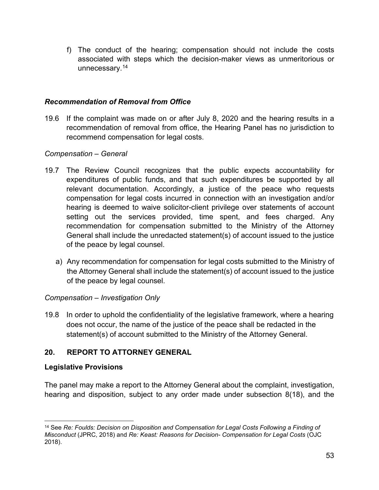f) The conduct of the hearing; compensation should not include the costs associated with steps which the decision-maker views as unmeritorious or unnecessary.[14](#page-52-0)

### *Recommendation of Removal from Office*

19.6 If the complaint was made on or after July 8, 2020 and the hearing results in a recommendation of removal from office, the Hearing Panel has no jurisdiction to recommend compensation for legal costs.

### *Compensation – General*

- 19.7 The Review Council recognizes that the public expects accountability for expenditures of public funds, and that such expenditures be supported by all relevant documentation. Accordingly, a justice of the peace who requests compensation for legal costs incurred in connection with an investigation and/or hearing is deemed to waive solicitor-client privilege over statements of account setting out the services provided, time spent, and fees charged. Any recommendation for compensation submitted to the Ministry of the Attorney General shall include the unredacted statement(s) of account issued to the justice of the peace by legal counsel.
	- a) Any recommendation for compensation for legal costs submitted to the Ministry of the Attorney General shall include the statement(s) of account issued to the justice of the peace by legal counsel.

# *Compensation – Investigation Only*

19.8 In order to uphold the confidentiality of the legislative framework, where a hearing does not occur, the name of the justice of the peace shall be redacted in the statement(s) of account submitted to the Ministry of the Attorney General.

# **20. REPORT TO ATTORNEY GENERAL**

# **Legislative Provisions**

The panel may make a report to the Attorney General about the complaint, investigation, hearing and disposition, subject to any order made under subsection 8(18), and the

<span id="page-52-0"></span><sup>14</sup> See *Re: Foulds: Decision on Disposition and Compensation for Legal Costs Following a Finding of Misconduct* (JPRC, 2018) and *Re: Keast: Reasons for Decision- Compensation for Legal Costs* (OJC 2018).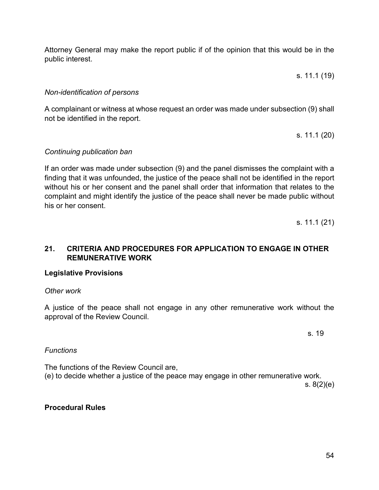Attorney General may make the report public if of the opinion that this would be in the public interest.

s. 11.1 (19)

### *Non-identification of persons*

A complainant or witness at whose request an order was made under subsection (9) shall not be identified in the report.

s. 11.1 (20)

#### *Continuing publication ban*

If an order was made under subsection (9) and the panel dismisses the complaint with a finding that it was unfounded, the justice of the peace shall not be identified in the report without his or her consent and the panel shall order that information that relates to the complaint and might identify the justice of the peace shall never be made public without his or her consent.

s. 11.1 (21)

# **21. CRITERIA AND PROCEDURES FOR APPLICATION TO ENGAGE IN OTHER REMUNERATIVE WORK**

### **Legislative Provisions**

#### *Other work*

A justice of the peace shall not engage in any other remunerative work without the approval of the Review Council.

s. 19

#### *Functions*

The functions of the Review Council are, (e) to decide whether a justice of the peace may engage in other remunerative work. s. 8(2)(e)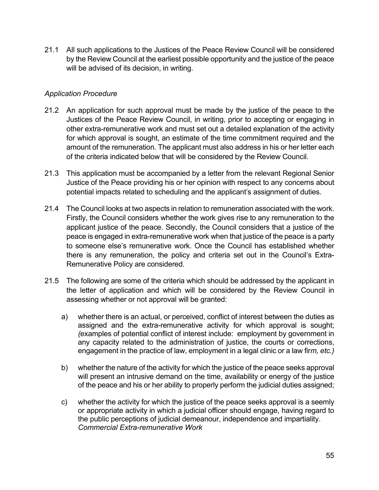21.1 All such applications to the Justices of the Peace Review Council will be considered by the Review Council at the earliest possible opportunity and the justice of the peace will be advised of its decision, in writing.

### *Application Procedure*

- 21.2 An application for such approval must be made by the justice of the peace to the Justices of the Peace Review Council, in writing, prior to accepting or engaging in other extra-remunerative work and must set out a detailed explanation of the activity for which approval is sought, an estimate of the time commitment required and the amount of the remuneration. The applicant must also address in his or her letter each of the criteria indicated below that will be considered by the Review Council.
- 21.3 This application must be accompanied by a letter from the relevant Regional Senior Justice of the Peace providing his or her opinion with respect to any concerns about potential impacts related to scheduling and the applicant's assignment of duties.
- 21.4 The Council looks at two aspects in relation to remuneration associated with the work. Firstly, the Council considers whether the work gives rise to any remuneration to the applicant justice of the peace. Secondly, the Council considers that a justice of the peace is engaged in extra-remunerative work when that justice of the peace is a party to someone else's remunerative work. Once the Council has established whether there is any remuneration, the policy and criteria set out in the Council's Extra-Remunerative Policy are considered.
- 21.5 The following are some of the criteria which should be addressed by the applicant in the letter of application and which will be considered by the Review Council in assessing whether or not approval will be granted:
	- a) whether there is an actual, or perceived, conflict of interest between the duties as assigned and the extra-remunerative activity for which approval is sought; *(*examples of potential conflict of interest include: employment by government in any capacity related to the administration of justice, the courts or corrections, engagement in the practice of law, employment in a legal clinic or a law fir*m, etc.)*
	- b) whether the nature of the activity for which the justice of the peace seeks approval will present an intrusive demand on the time, availability or energy of the justice of the peace and his or her ability to properly perform the judicial duties assigned;
	- c) whether the activity for which the justice of the peace seeks approval is a seemly or appropriate activity in which a judicial officer should engage, having regard to the public perceptions of judicial demeanour, independence and impartiality. *Commercial Extra-remunerative Work*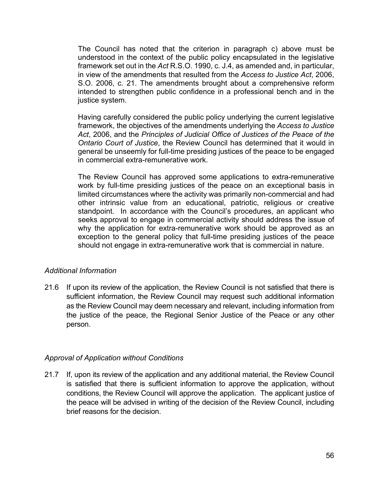The Council has noted that the criterion in paragraph c) above must be understood in the context of the public policy encapsulated in the legislative framework set out in the *Act* R.S.O. 1990, c. J.4, as amended and, in particular, in view of the amendments that resulted from the *Access to Justice Act*, 2006, S.O. 2006, c. 21. The amendments brought about a comprehensive reform intended to strengthen public confidence in a professional bench and in the justice system.

Having carefully considered the public policy underlying the current legislative framework, the objectives of the amendments underlying the *Access to Justice Act*, 2006, and the *Principles of Judicial Office of Justices of the Peace of the Ontario Court of Justice*, the Review Council has determined that it would in general be unseemly for full-time presiding justices of the peace to be engaged in commercial extra-remunerative work.

The Review Council has approved some applications to extra-remunerative work by full-time presiding justices of the peace on an exceptional basis in limited circumstances where the activity was primarily non-commercial and had other intrinsic value from an educational, patriotic, religious or creative standpoint. In accordance with the Council's procedures, an applicant who seeks approval to engage in commercial activity should address the issue of why the application for extra-remunerative work should be approved as an exception to the general policy that full-time presiding justices of the peace should not engage in extra-remunerative work that is commercial in nature.

# *Additional Information*

21.6 If upon its review of the application, the Review Council is not satisfied that there is sufficient information, the Review Council may request such additional information as the Review Council may deem necessary and relevant, including information from the justice of the peace, the Regional Senior Justice of the Peace or any other person.

# *Approval of Application without Conditions*

21.7 If, upon its review of the application and any additional material, the Review Council is satisfied that there is sufficient information to approve the application, without conditions, the Review Council will approve the application. The applicant justice of the peace will be advised in writing of the decision of the Review Council, including brief reasons for the decision.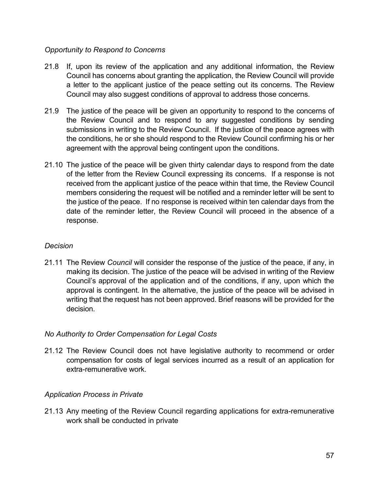# *Opportunity to Respond to Concerns*

- 21.8 If, upon its review of the application and any additional information, the Review Council has concerns about granting the application, the Review Council will provide a letter to the applicant justice of the peace setting out its concerns. The Review Council may also suggest conditions of approval to address those concerns.
- 21.9 The justice of the peace will be given an opportunity to respond to the concerns of the Review Council and to respond to any suggested conditions by sending submissions in writing to the Review Council. If the justice of the peace agrees with the conditions, he or she should respond to the Review Council confirming his or her agreement with the approval being contingent upon the conditions.
- 21.10 The justice of the peace will be given thirty calendar days to respond from the date of the letter from the Review Council expressing its concerns. If a response is not received from the applicant justice of the peace within that time, the Review Council members considering the request will be notified and a reminder letter will be sent to the justice of the peace. If no response is received within ten calendar days from the date of the reminder letter, the Review Council will proceed in the absence of a response.

### *Decision*

21.11 The Review *Council* will consider the response of the justice of the peace, if any, in making its decision. The justice of the peace will be advised in writing of the Review Council's approval of the application and of the conditions, if any, upon which the approval is contingent. In the alternative, the justice of the peace will be advised in writing that the request has not been approved. Brief reasons will be provided for the decision.

# *No Authority to Order Compensation for Legal Costs*

21.12 The Review Council does not have legislative authority to recommend or order compensation for costs of legal services incurred as a result of an application for extra-remunerative work.

# *Application Process in Private*

21.13 Any meeting of the Review Council regarding applications for extra-remunerative work shall be conducted in private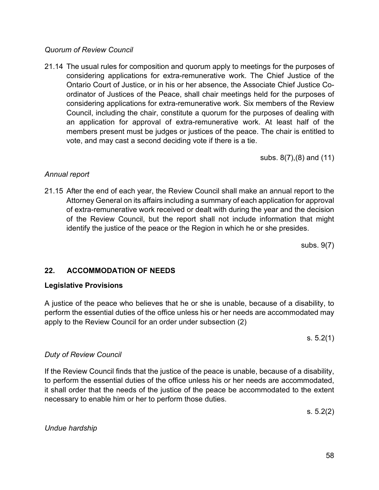# 58

### *Quorum of Review Council*

21.14 The usual rules for composition and quorum apply to meetings for the purposes of considering applications for extra-remunerative work. The Chief Justice of the Ontario Court of Justice, or in his or her absence, the Associate Chief Justice Coordinator of Justices of the Peace, shall chair meetings held for the purposes of considering applications for extra-remunerative work. Six members of the Review Council, including the chair, constitute a quorum for the purposes of dealing with an application for approval of extra-remunerative work. At least half of the members present must be judges or justices of the peace. The chair is entitled to vote, and may cast a second deciding vote if there is a tie.

subs. 8(7),(8) and (11)

# *Annual report*

21.15 After the end of each year, the Review Council shall make an annual report to the Attorney General on its affairs including a summary of each application for approval of extra-remunerative work received or dealt with during the year and the decision of the Review Council, but the report shall not include information that might identify the justice of the peace or the Region in which he or she presides.

subs. 9(7)

# **22. [ACCOMMODATION](#page-0-0) OF NEEDS**

# **Legislative Provisions**

A justice of the peace who believes that he or she is unable, because of a disability, to perform the essential duties of the office unless his or her needs are accommodated may apply to the Review Council for an order under subsection (2)

s. 5.2(1)

# *Duty of Review Council*

If the Review Council finds that the justice of the peace is unable, because of a disability, to perform the essential duties of the office unless his or her needs are accommodated, it shall order that the needs of the justice of the peace be accommodated to the extent necessary to enable him or her to perform those duties.

s. 5.2(2)

*[Undue hardship](#page-0-0)*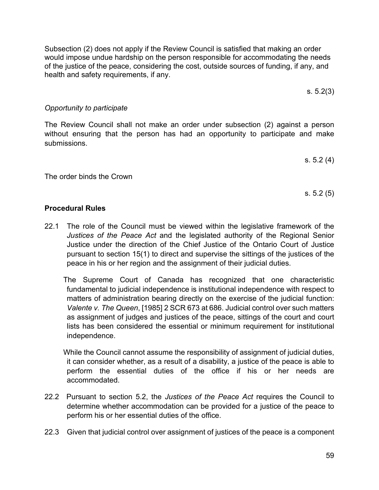Subsection (2) does not apply if the Review Council is satisfied that making an order would impose undue hardship on the person responsible for accommodating the needs of the justice of the peace, considering the cost, outside sources of funding, if any, and health and safety requirements, if any.

The Review Council shall not make an order under subsection (2) against a person without ensuring that the person has had an opportunity to participate and make

submissions.

*[Opportunity to participate](#page-0-0)*

The order binds the Crown

### **Procedural Rules**

22.1 The role of the Council must be viewed within the legislative framework of the *Justices of the Peace Act* and the legislated authority of the Regional Senior Justice under the direction of the Chief Justice of the Ontario Court of Justice pursuant to section 15(1) to direct and supervise the sittings of the justices of the peace in his or her region and the assignment of their judicial duties.

The Supreme Court of Canada has recognized that one characteristic fundamental to judicial independence is institutional independence with respect to matters of administration bearing directly on the exercise of the judicial function: *Valente v. The Queen*, [1985] 2 SCR 673 at 686. Judicial control over such matters as assignment of judges and justices of the peace, sittings of the court and court lists has been considered the essential or minimum requirement for institutional independence.

While the Council cannot assume the responsibility of assignment of judicial duties, it can consider whether, as a result of a disability, a justice of the peace is able to perform the essential duties of the office if his or her needs are accommodated.

- 22.2 Pursuant to section 5.2, the *Justices of the Peace Act* requires the Council to determine whether accommodation can be provided for a justice of the peace to perform his or her essential duties of the office.
- 22.3 Given that judicial control over assignment of justices of the peace is a component

s. 5.2(3)

s. 5.2 (4)

s. 5.2 (5)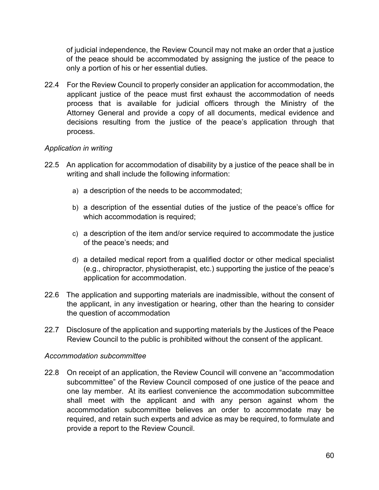of judicial independence, the Review Council may not make an order that a justice of the peace should be accommodated by assigning the justice of the peace to only a portion of his or her essential duties.

22.4 For the Review Council to properly consider an application for accommodation, the applicant justice of the peace must first exhaust the accommodation of needs process that is available for judicial officers through the Ministry of the Attorney General and provide a copy of all documents, medical evidence and decisions resulting from the justice of the peace's application through that process.

### *[Application in writing](#page-0-0)*

- 22.5 An application for accommodation of disability by a justice of the peace shall be in writing and shall include the following information:
	- a) a description of the needs to be accommodated;
	- b) a description of the essential duties of the justice of the peace's office for which accommodation is required;
	- c) a description of the item and/or service required to accommodate the justice of the peace's needs; and
	- d) a detailed medical report from a qualified doctor or other medical specialist (e.g., chiropractor, physiotherapist, etc.) supporting the justice of the peace's application for accommodation.
- 22.6 The application and supporting materials are inadmissible, without the consent of the applicant, in any investigation or hearing, other than the hearing to consider the question of accommodation
- 22.7 Disclosure of the application and supporting materials by the Justices of the Peace Review Council to the public is prohibited without the consent of the applicant.

### *[Accommodation subcommittee](#page-0-0)*

22.8 On receipt of an application, the Review Council will convene an "accommodation subcommittee" of the Review Council composed of one justice of the peace and one lay member. At its earliest convenience the accommodation subcommittee shall meet with the applicant and with any person against whom the accommodation subcommittee believes an order to accommodate may be required, and retain such experts and advice as may be required, to formulate and provide a report to the Review Council.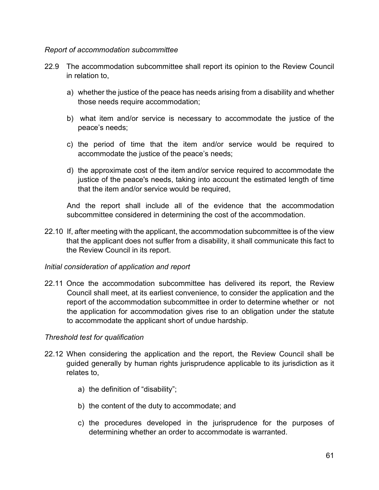### *[Report of accommodation subcommittee](#page-0-0)*

- 22.9 The accommodation subcommittee shall report its opinion to the Review Council in relation to,
	- a) whether the justice of the peace has needs arising from a disability and whether those needs require accommodation;
	- b) what item and/or service is necessary to accommodate the justice of the peace's needs;
	- c) the period of time that the item and/or service would be required to accommodate the justice of the peace's needs;
	- d) the approximate cost of the item and/or service required to accommodate the justice of the peace's needs, taking into account the estimated length of time that the item and/or service would be required,

And the report shall include all of the evidence that the accommodation subcommittee considered in determining the cost of the accommodation.

22.10 If, after meeting with the applicant, the accommodation subcommittee is of the view that the applicant does not suffer from a disability, it shall communicate this fact to the Review Council in its report.

### *[Initial consideration of application and report](#page-0-0)*

22.11 Once the accommodation subcommittee has delivered its report, the Review Council shall meet, at its earliest convenience, to consider the application and the report of the accommodation subcommittee in order to determine whether or not the application for accommodation gives rise to an obligation under the statute to accommodate the applicant short of undue hardship.

### *Threshold test for qualification*

- 22.12 When considering the application and the report, the Review Council shall be guided generally by human rights jurisprudence applicable to its jurisdiction as it relates to,
	- a) the definition of "disability";
	- b) the content of the duty to accommodate; and
	- c) the procedures developed in the jurisprudence for the purposes of determining whether an order to accommodate is warranted.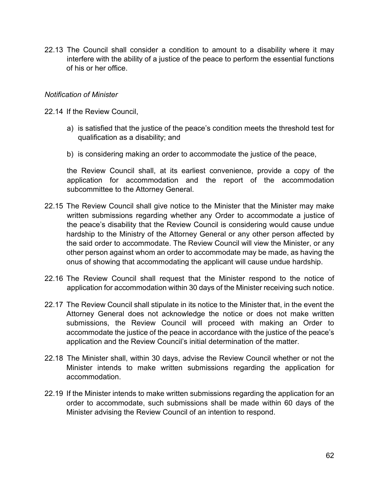22.13 The Council shall consider a condition to amount to a disability where it may interfere with the ability of a justice of the peace to perform the essential functions of his or her office.

### *[Notification of Minister](#page-0-0)*

22.14 If the Review Council,

- a) is satisfied that the justice of the peace's condition meets the threshold test for qualification as a disability; and
- b) is considering making an order to accommodate the justice of the peace,

the Review Council shall, at its earliest convenience, provide a copy of the application for accommodation and the report of the accommodation subcommittee to the Attorney General.

- 22.15 The Review Council shall give notice to the Minister that the Minister may make written submissions regarding whether any Order to accommodate a justice of the peace's disability that the Review Council is considering would cause undue hardship to the Ministry of the Attorney General or any other person affected by the said order to accommodate. The Review Council will view the Minister, or any other person against whom an order to accommodate may be made, as having the onus of showing that accommodating the applicant will cause undue hardship.
- 22.16 The Review Council shall request that the Minister respond to the notice of application for accommodation within 30 days of the Minister receiving such notice.
- 22.17 The Review Council shall stipulate in its notice to the Minister that, in the event the Attorney General does not acknowledge the notice or does not make written submissions, the Review Council will proceed with making an Order to accommodate the justice of the peace in accordance with the justice of the peace's application and the Review Council's initial determination of the matter.
- 22.18 The Minister shall, within 30 days, advise the Review Council whether or not the Minister intends to make written submissions regarding the application for accommodation.
- 22.19 If the Minister intends to make written submissions regarding the application for an order to accommodate, such submissions shall be made within 60 days of the Minister advising the Review Council of an intention to respond.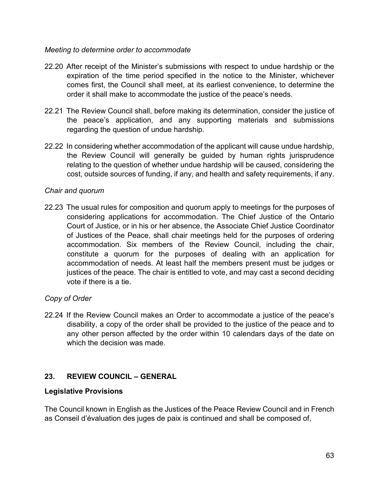### *[Meeting to determine order to accommodate](#page-0-0)*

- 22.20 After receipt of the Minister's submissions with respect to undue hardship or the expiration of the time period specified in the notice to the Minister, whichever comes first, the Council shall meet, at its earliest convenience, to determine the order it shall make to accommodate the justice of the peace's needs.
- 22.21 The Review Council shall, before making its determination, consider the justice of the peace's application, and any supporting materials and submissions regarding the question of undue hardship.
- 22.22 In considering whether accommodation of the applicant will cause undue hardship, the Review Council will generally be guided by human rights jurisprudence relating to the question of whether undue hardship will be caused, considering the cost, outside sources of funding, if any, and health and safety requirements, if any.

# *[Chair and quorum](#page-0-0)*

22.23 The usual rules for composition and quorum apply to meetings for the purposes of considering applications for accommodation. The Chief Justice of the Ontario Court of Justice, or in his or her absence, the Associate Chief Justice Coordinator of Justices of the Peace, shall chair meetings held for the purposes of ordering accommodation. Six members of the Review Council, including the chair, constitute a quorum for the purposes of dealing with an application for accommodation of needs. At least half the members present must be judges or justices of the peace. The chair is entitled to vote, and may cast a second deciding vote if there is a tie.

# *[Copy of Order](#page-0-0)*

22.24 If the Review Council makes an Order to accommodate a justice of the peace's disability, a copy of the order shall be provided to the justice of the peace and to any other person affected by the order within 10 calendars days of the date on which the decision was made.

# **23. REVIEW COUNCIL – GENERAL**

# **Legislative Provisions**

The Council known in English as the Justices of the Peace Review Council and in French as Conseil d'évaluation des juges de paix is continued and shall be composed of,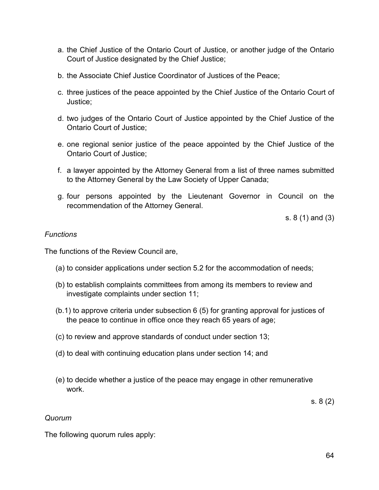- a. the Chief Justice of the Ontario Court of Justice, or another judge of the Ontario Court of Justice designated by the Chief Justice;
- b. the Associate Chief Justice Coordinator of Justices of the Peace;
- c. three justices of the peace appointed by the Chief Justice of the Ontario Court of Justice;
- d. two judges of the Ontario Court of Justice appointed by the Chief Justice of the Ontario Court of Justice;
- e. one regional senior justice of the peace appointed by the Chief Justice of the Ontario Court of Justice;
- f. a lawyer appointed by the Attorney General from a list of three names submitted to the Attorney General by the Law Society of Upper Canada;
- g. four persons appointed by the Lieutenant Governor in Council on the recommendation of the Attorney General.

s. 8 (1) and (3)

### *[Functions](#page-0-0)*

The functions of the Review Council are,

- (a) to consider applications under section 5.2 for the accommodation of needs;
- (b) to establish complaints committees from among its members to review and investigate complaints under section 11;
- (b.1) to approve criteria under subsection 6 (5) for granting approval for justices of the peace to continue in office once they reach 65 years of age;
- (c) to review and approve standards of conduct under section 13;
- (d) to deal with continuing education plans under section 14; and
- (e) to decide whether a justice of the peace may engage in other remunerative work.

s. 8 (2)

# *[Quorum](#page-0-0)*

The following quorum rules apply: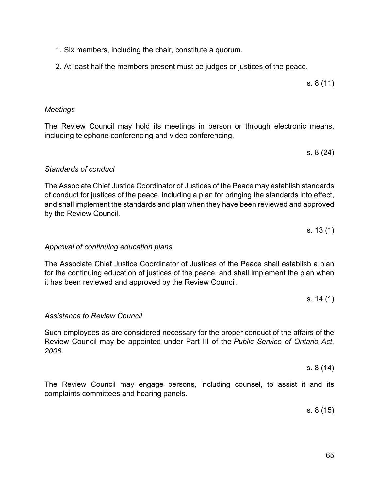### 1. Six members, including the chair, constitute a quorum.

2. At least half the members present must be judges or justices of the peace.

# *[Meetings](#page-0-0)*

The Review Council may hold its meetings in person or through electronic means, including telephone conferencing and video conferencing.

s. 8 (24)

s. 8 (11)

# *[Standards of conduct](#page-0-0)*

The Associate Chief Justice Coordinator of Justices of the Peace may establish standards of conduct for justices of the peace, including a plan for bringing the standards into effect, and shall implement the standards and plan when they have been reviewed and approved by the Review Council.

s. 13 (1)

### *[Approval of continuing education plans](#page-0-0)*

The Associate Chief Justice Coordinator of Justices of the Peace shall establish a plan for the continuing education of justices of the peace, and shall implement the plan when it has been reviewed and approved by the Review Council.

### *[Assistance to Review Council](#page-0-0)*

Such employees as are considered necessary for the proper conduct of the affairs of the Review Council may be appointed under Part III of the *Public Service of Ontario Act, 2006*.

The Review Council may engage persons, including counsel, to assist it and its complaints committees and hearing panels.

s. 8 (15)

s. 8 (14)

s. 14 (1)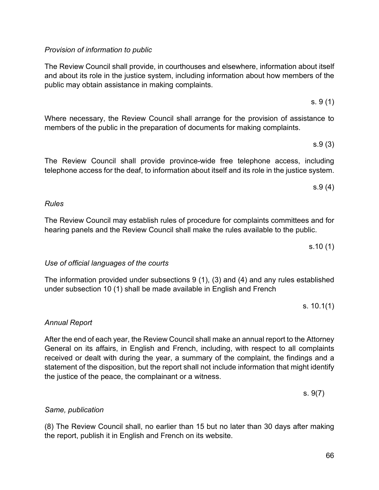### *[Provision](#page-0-0) of information to public*

The Review Council shall provide, in courthouses and elsewhere, information about itself and about its role in the justice system, including information about how members of the public may obtain assistance in making complaints.

Where necessary, the Review Council shall arrange for the provision of assistance to members of the public in the preparation of documents for making complaints.

The Review Council shall provide province-wide free telephone access, including telephone access for the deaf, to information about itself and its role in the justice system.

The Review Council may establish rules of procedure for complaints committees and for hearing panels and the Review Council shall make the rules available to the public.

*[Use of official languages of the courts](#page-0-0)*

The information provided under subsections 9 (1), (3) and (4) and any rules established under subsection 10 (1) shall be made available in English and French

*[Annual Report](#page-0-0)*

*Same, publication*

*Rules* 

After the end of each year, the Review Council shall make an annual report to the Attorney General on its affairs, in English and French, including, with respect to all complaints received or dealt with during the year, a summary of the complaint, the findings and a statement of the disposition, but the report shall not include information that might identify the justice of the peace, the complainant or a witness.

(8) The Review Council shall, no earlier than 15 but no later than 30 days after making the report, publish it in English and French on its website.

s.10 (1)

s. 10.1(1)

s. 9(7)

s. 9 (1)

s.9 (3)

s.9 (4)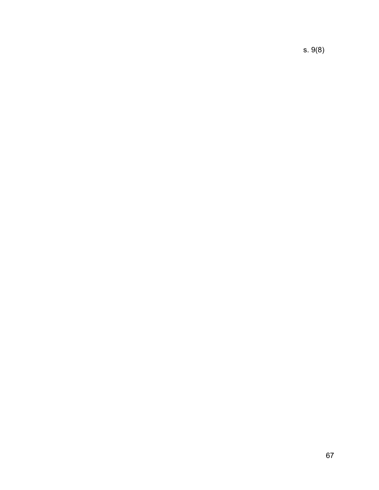s. 9(8)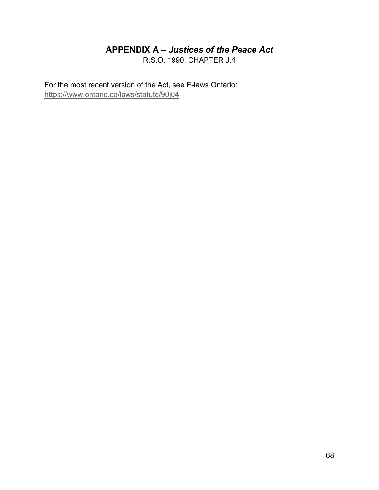# **APPENDIX A –** *[Justices of the Peace Act](#page-0-0)*

R.S.O. 1990, CHAPTER J.4

For the most recent version of the Act, see E-laws Ontario: <https://www.ontario.ca/laws/statute/90j04>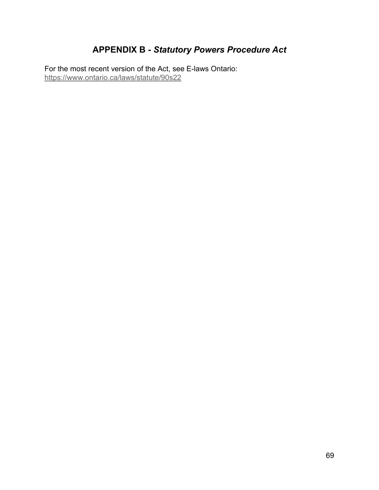# **APPENDIX B -** *Statutory Powers Procedure Act*

For the most recent version of the Act, see E-laws Ontario: <https://www.ontario.ca/laws/statute/90s22>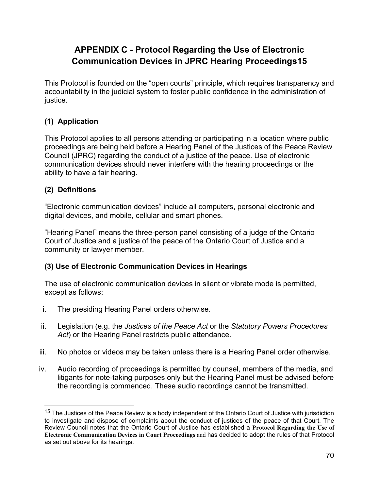# **APPENDIX C - Protocol Regarding the Use of Electronic Communication Devices in JPRC Hearing Proceeding[s15](#page-69-0)**

This Protocol is founded on the "open courts" principle, which requires transparency and accountability in the judicial system to foster public confidence in the administration of justice.

# **(1) Application**

This Protocol applies to all persons attending or participating in a location where public proceedings are being held before a Hearing Panel of the Justices of the Peace Review Council (JPRC) regarding the conduct of a justice of the peace. Use of electronic communication devices should never interfere with the hearing proceedings or the ability to have a fair hearing.

# **(2) Definitions**

"Electronic communication devices" include all computers, personal electronic and digital devices, and mobile, cellular and smart phones.

"Hearing Panel" means the three-person panel consisting of a judge of the Ontario Court of Justice and a justice of the peace of the Ontario Court of Justice and a community or lawyer member.

# **(3) Use of Electronic Communication Devices in Hearings**

The use of electronic communication devices in silent or vibrate mode is permitted, except as follows:

- i. The presiding Hearing Panel orders otherwise.
- ii. Legislation (e.g. the *Justices of the Peace Act* or the *Statutory Powers Procedures Act*) or the Hearing Panel restricts public attendance.
- iii. No photos or videos may be taken unless there is a Hearing Panel order otherwise.
- iv. Audio recording of proceedings is permitted by counsel, members of the media, and litigants for note-taking purposes only but the Hearing Panel must be advised before the recording is commenced. These audio recordings cannot be transmitted.

<span id="page-69-0"></span><sup>&</sup>lt;sup>15</sup> The Justices of the Peace Review is a body independent of the Ontario Court of Justice with jurisdiction to investigate and dispose of complaints about the conduct of justices of the peace of that Court. The Review Council notes that the Ontario Court of Justice has established a **Protocol Regarding the Use of Electronic Communication Devices in Court Proceedings** and has decided to adopt the rules of that Protocol as set out above for its hearings.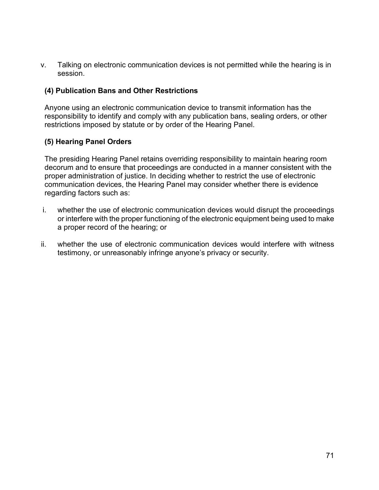v. Talking on electronic communication devices is not permitted while the hearing is in session.

# **(4) Publication Bans and Other Restrictions**

Anyone using an electronic communication device to transmit information has the responsibility to identify and comply with any publication bans, sealing orders, or other restrictions imposed by statute or by order of the Hearing Panel.

# **(5) Hearing Panel Orders**

The presiding Hearing Panel retains overriding responsibility to maintain hearing room decorum and to ensure that proceedings are conducted in a manner consistent with the proper administration of justice. In deciding whether to restrict the use of electronic communication devices, the Hearing Panel may consider whether there is evidence regarding factors such as:

- i. whether the use of electronic communication devices would disrupt the proceedings or interfere with the proper functioning of the electronic equipment being used to make a proper record of the hearing; or
- ii. whether the use of electronic communication devices would interfere with witness testimony, or unreasonably infringe anyone's privacy or security.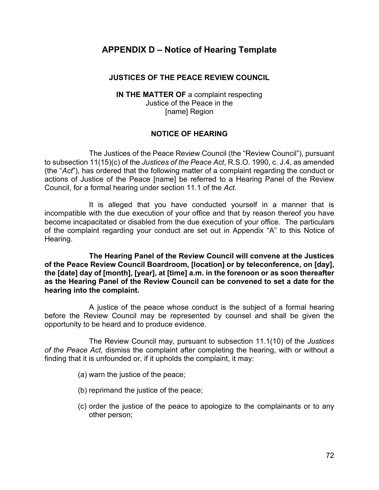# **APPENDIX D – Notice of Hearing Template**

### **JUSTICES OF THE PEACE REVIEW COUNCIL**

**IN THE MATTER OF** a complaint respecting Justice of the Peace in the [name] Region

# **NOTICE OF HEARING**

The Justices of the Peace Review Council (the "Review Council"), pursuant to subsection 11(15)(c) of the *Justices of the Peace Act*, R.S.O. 1990, c. J.4, as amended (the "*Act*"), has ordered that the following matter of a complaint regarding the conduct or actions of Justice of the Peace [name] be referred to a Hearing Panel of the Review Council, for a formal hearing under section 11.1 of the *Act*.

It is alleged that you have conducted yourself in a manner that is incompatible with the due execution of your office and that by reason thereof you have become incapacitated or disabled from the due execution of your office. The particulars of the complaint regarding your conduct are set out in Appendix "A" to this Notice of Hearing.

**The Hearing Panel of the Review Council will convene at the Justices of the Peace Review Council Boardroom, [location] or by teleconference, on [day], the [date] day of [month], [year], at [time] a.m. in the forenoon or as soon thereafter as the Hearing Panel of the Review Council can be convened to set a date for the hearing into the complaint.**

A justice of the peace whose conduct is the subject of a formal hearing before the Review Council may be represented by counsel and shall be given the opportunity to be heard and to produce evidence.

The Review Council may, pursuant to subsection 11.1(10) of the *Justices of the Peace Act,* dismiss the complaint after completing the hearing, with or without a finding that it is unfounded or, if it upholds the complaint, it may:

- (a) warn the justice of the peace;
- (b) reprimand the justice of the peace;
- (c) order the justice of the peace to apologize to the complainants or to any other person;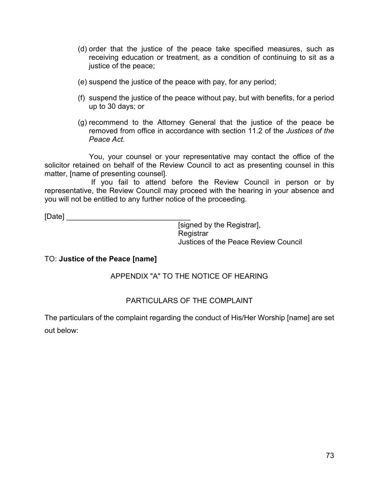- (d) order that the justice of the peace take specified measures, such as receiving education or treatment, as a condition of continuing to sit as a justice of the peace;
- (e) suspend the justice of the peace with pay, for any period;
- (f) suspend the justice of the peace without pay, but with benefits, for a period up to 30 days; or
- (g) recommend to the Attorney General that the justice of the peace be removed from office in accordance with section 11.2 of the *Justices of the Peace Act*.

You, your counsel or your representative may contact the office of the solicitor retained on behalf of the Review Council to act as presenting counsel in this matter, [name of presenting counsel].

If you fail to attend before the Review Council in person or by representative, the Review Council may proceed with the hearing in your absence and you will not be entitled to any further notice of the proceeding.

 $[Date]$ 

[signed by the Registrar], **Registrar** Justices of the Peace Review Council

#### TO: **Justice of the Peace [name]**

#### APPENDIX "A" TO THE NOTICE OF HEARING

#### PARTICULARS OF THE COMPLAINT

The particulars of the complaint regarding the conduct of His/Her Worship [name] are set out below: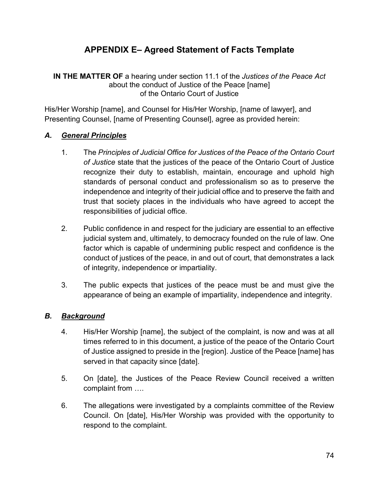# **APPENDIX E– Agreed Statement of Facts Template**

**IN THE MATTER OF** a hearing under section 11.1 of the *Justices of the Peace Act* about the conduct of Justice of the Peace [name] of the Ontario Court of Justice

His/Her Worship [name], and Counsel for His/Her Worship, [name of lawyer], and Presenting Counsel, [name of Presenting Counsel], agree as provided herein:

### *A. General Principles*

- 1. The *Principles of Judicial Office for Justices of the Peace of the Ontario Court of Justice* state that the justices of the peace of the Ontario Court of Justice recognize their duty to establish, maintain, encourage and uphold high standards of personal conduct and professionalism so as to preserve the independence and integrity of their judicial office and to preserve the faith and trust that society places in the individuals who have agreed to accept the responsibilities of judicial office.
- 2. Public confidence in and respect for the judiciary are essential to an effective judicial system and, ultimately, to democracy founded on the rule of law. One factor which is capable of undermining public respect and confidence is the conduct of justices of the peace, in and out of court, that demonstrates a lack of integrity, independence or impartiality.
- 3. The public expects that justices of the peace must be and must give the appearance of being an example of impartiality, independence and integrity.

## *B. Background*

- 4. His/Her Worship [name], the subject of the complaint, is now and was at all times referred to in this document, a justice of the peace of the Ontario Court of Justice assigned to preside in the [region]. Justice of the Peace [name] has served in that capacity since [date].
- 5. On [date], the Justices of the Peace Review Council received a written complaint from ….
- 6. The allegations were investigated by a complaints committee of the Review Council. On [date], His/Her Worship was provided with the opportunity to respond to the complaint.